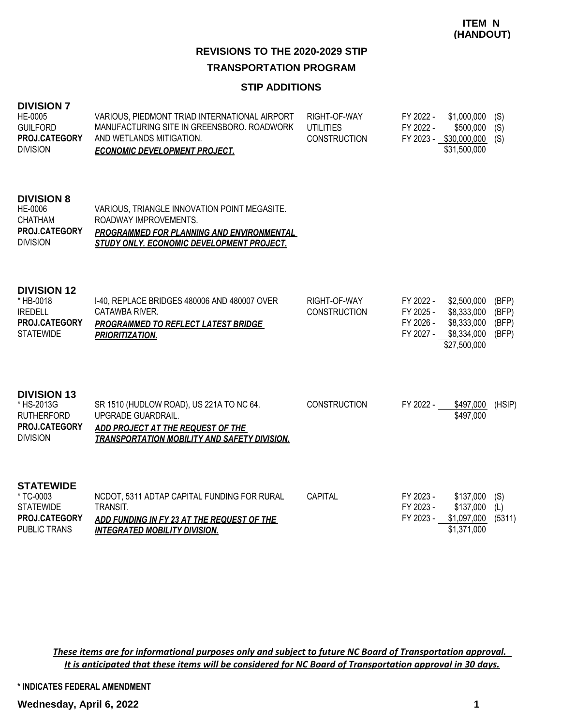### **STIP ADDITIONS**

| <b>DIVISION 7</b><br>HE-0005<br><b>GUILFORD</b><br>PROJ.CATEGORY<br><b>DIVISION</b>       | VARIOUS, PIEDMONT TRIAD INTERNATIONAL AIRPORT<br>MANUFACTURING SITE IN GREENSBORO, ROADWORK<br>AND WETLANDS MITIGATION.<br><b>ECONOMIC DEVELOPMENT PROJECT.</b>        | RIGHT-OF-WAY<br><b>UTILITIES</b><br><b>CONSTRUCTION</b> | FY 2022 -<br>FY 2022 -                           | \$1,000,000<br>\$500,000<br>FY 2023 - \$30,000,000<br>\$31,500,000       | (S)<br>(S)<br>(S)                |
|-------------------------------------------------------------------------------------------|------------------------------------------------------------------------------------------------------------------------------------------------------------------------|---------------------------------------------------------|--------------------------------------------------|--------------------------------------------------------------------------|----------------------------------|
| <b>DIVISION 8</b><br>HE-0006<br><b>CHATHAM</b><br>PROJ.CATEGORY<br><b>DIVISION</b>        | VARIOUS, TRIANGLE INNOVATION POINT MEGASITE.<br>ROADWAY IMPROVEMENTS.<br><b>PROGRAMMED FOR PLANNING AND ENVIRONMENTAL</b><br>STUDY ONLY. ECONOMIC DEVELOPMENT PROJECT. |                                                         |                                                  |                                                                          |                                  |
| <b>DIVISION 12</b><br>* HB-0018<br><b>IREDELL</b><br>PROJ.CATEGORY<br><b>STATEWIDE</b>    | I-40, REPLACE BRIDGES 480006 AND 480007 OVER<br>CATAWBA RIVER.<br>PROGRAMMED TO REFLECT LATEST BRIDGE<br><b>PRIORITIZATION.</b>                                        | RIGHT-OF-WAY<br><b>CONSTRUCTION</b>                     | FY 2022 -<br>FY 2025 -<br>FY 2026 -<br>FY 2027 - | \$2,500,000<br>\$8,333,000<br>\$8,333,000<br>\$8,334,000<br>\$27,500,000 | (BFP)<br>(BFP)<br>(BFP)<br>(BFP) |
| <b>DIVISION 13</b><br>* HS-2013G<br><b>RUTHERFORD</b><br>PROJ.CATEGORY<br><b>DIVISION</b> | SR 1510 (HUDLOW ROAD), US 221A TO NC 64.<br>UPGRADE GUARDRAIL.<br>ADD PROJECT AT THE REQUEST OF THE<br><b>TRANSPORTATION MOBILITY AND SAFETY DIVISION.</b>             | <b>CONSTRUCTION</b>                                     | FY 2022 -                                        | \$497,000<br>\$497,000                                                   | (HSIP)                           |
| <b>STATEWIDE</b><br>* TC-0003<br><b>STATEWIDE</b><br>PROJ.CATEGORY<br><b>PUBLIC TRANS</b> | NCDOT, 5311 ADTAP CAPITAL FUNDING FOR RURAL<br>TRANSIT.<br>ADD FUNDING IN FY 23 AT THE REQUEST OF THE<br><b>INTEGRATED MOBILITY DIVISION.</b>                          | CAPITAL                                                 | FY 2023 -<br>FY 2023 -<br>FY 2023 -              | \$137,000<br>\$137,000<br>\$1,097,000<br>\$1,371,000                     | (S)<br>(L)<br>(5311)             |

*These items are for informational purposes only and subject to future NC Board of Transportation approval. It is anticipated that these items will be considered for NC Board of Transportation approval in 30 days.*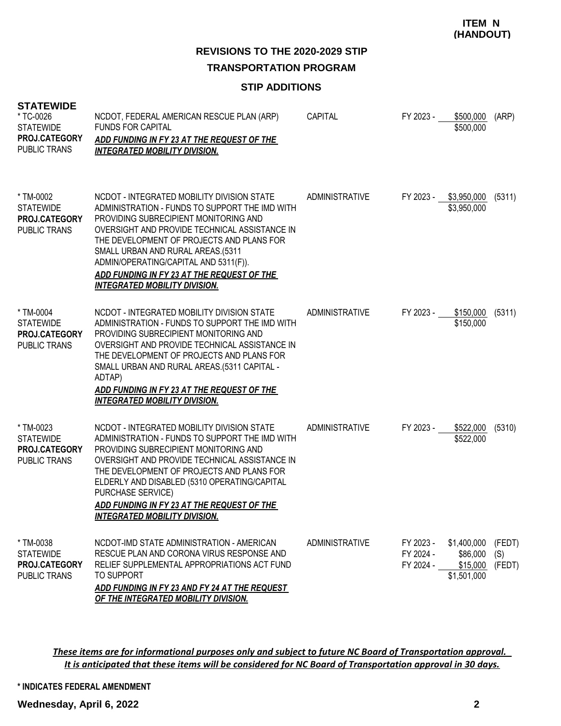**REVISIONS TO THE 2020-2029 STIP TRANSPORTATION PROGRAM**

#### **STIP ADDITIONS**

| <b>STATEWIDE</b><br>* TC-0026<br><b>STATEWIDE</b><br>PROJ.CATEGORY<br>PUBLIC TRANS | NCDOT, FEDERAL AMERICAN RESCUE PLAN (ARP)<br><b>FUNDS FOR CAPITAL</b><br>ADD FUNDING IN FY 23 AT THE REQUEST OF THE<br><b>INTEGRATED MOBILITY DIVISION.</b>                                                                                                                                                                                                                                             | <b>CAPITAL</b> | FY 2023 -                           | \$500,000<br>\$500,000                             | (ARP)                   |
|------------------------------------------------------------------------------------|---------------------------------------------------------------------------------------------------------------------------------------------------------------------------------------------------------------------------------------------------------------------------------------------------------------------------------------------------------------------------------------------------------|----------------|-------------------------------------|----------------------------------------------------|-------------------------|
| * TM-0002<br><b>STATEWIDE</b><br>PROJ.CATEGORY<br>PUBLIC TRANS                     | NCDOT - INTEGRATED MOBILITY DIVISION STATE<br>ADMINISTRATION - FUNDS TO SUPPORT THE IMD WITH<br>PROVIDING SUBRECIPIENT MONITORING AND<br>OVERSIGHT AND PROVIDE TECHNICAL ASSISTANCE IN<br>THE DEVELOPMENT OF PROJECTS AND PLANS FOR<br>SMALL URBAN AND RURAL AREAS.(5311<br>ADMIN/OPERATING/CAPITAL AND 5311(F)).<br>ADD FUNDING IN FY 23 AT THE REQUEST OF THE<br><b>INTEGRATED MOBILITY DIVISION.</b> | ADMINISTRATIVE | FY 2023 - \$3,950,000               | \$3,950,000                                        | (5311)                  |
| * TM-0004<br><b>STATEWIDE</b><br>PROJ.CATEGORY<br>PUBLIC TRANS                     | NCDOT - INTEGRATED MOBILITY DIVISION STATE<br>ADMINISTRATION - FUNDS TO SUPPORT THE IMD WITH<br>PROVIDING SUBRECIPIENT MONITORING AND<br>OVERSIGHT AND PROVIDE TECHNICAL ASSISTANCE IN<br>THE DEVELOPMENT OF PROJECTS AND PLANS FOR<br>SMALL URBAN AND RURAL AREAS.(5311 CAPITAL -<br>ADTAP)<br>ADD FUNDING IN FY 23 AT THE REQUEST OF THE<br><b>INTEGRATED MOBILITY DIVISION.</b>                      | ADMINISTRATIVE | FY 2023 -                           | \$150,000<br>\$150,000                             | (5311)                  |
| * TM-0023<br><b>STATEWIDE</b><br>PROJ.CATEGORY<br><b>PUBLIC TRANS</b>              | NCDOT - INTEGRATED MOBILITY DIVISION STATE<br>ADMINISTRATION - FUNDS TO SUPPORT THE IMD WITH<br>PROVIDING SUBRECIPIENT MONITORING AND<br>OVERSIGHT AND PROVIDE TECHNICAL ASSISTANCE IN<br>THE DEVELOPMENT OF PROJECTS AND PLANS FOR<br>ELDERLY AND DISABLED (5310 OPERATING/CAPITAL<br>PURCHASE SERVICE)<br>ADD FUNDING IN FY 23 AT THE REQUEST OF THE<br><b>INTEGRATED MOBILITY DIVISION.</b>          | ADMINISTRATIVE | FY 2023 - \$522,000                 | \$522,000                                          | (5310)                  |
| * TM-0038<br><b>STATEWIDE</b><br>PROJ.CATEGORY<br>PUBLIC TRANS                     | NCDOT-IMD STATE ADMINISTRATION - AMERICAN<br>RESCUE PLAN AND CORONA VIRUS RESPONSE AND<br>RELIEF SUPPLEMENTAL APPROPRIATIONS ACT FUND<br><b>TO SUPPORT</b><br>ADD FUNDING IN FY 23 AND FY 24 AT THE REQUEST<br>OF THE INTEGRATED MOBILITY DIVISION.                                                                                                                                                     | ADMINISTRATIVE | FY 2023 -<br>FY 2024 -<br>FY 2024 - | \$1,400,000<br>\$86,000<br>\$15,000<br>\$1,501,000 | (FEDT)<br>(S)<br>(FEDT) |

*These items are for informational purposes only and subject to future NC Board of Transportation approval. It is anticipated that these items will be considered for NC Board of Transportation approval in 30 days.*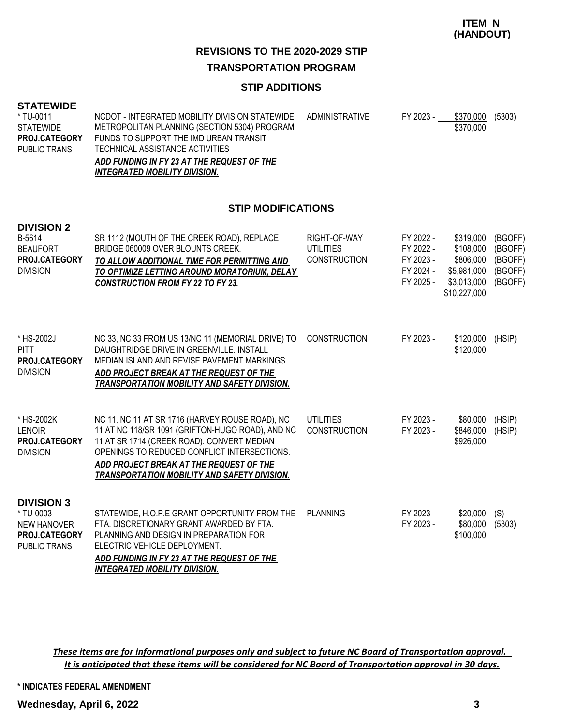# **REVISIONS TO THE 2020-2029 STIP**

#### **TRANSPORTATION PROGRAM**

#### **STIP ADDITIONS**

| <b>STATEWIDE</b><br>* TU-0011<br><b>STATEWIDE</b><br><b>PROJ.CATEGORY</b><br>PUBLIC TRANS | NCDOT - INTEGRATED MOBILITY DIVISION STATEWIDE<br>METROPOLITAN PLANNING (SECTION 5304) PROGRAM<br>FUNDS TO SUPPORT THE IMD URBAN TRANSIT<br>TECHNICAL ASSISTANCE ACTIVITIES<br>ADD FUNDING IN FY 23 AT THE REQUEST OF THE | ADMINISTRATIVE | FY 2023 - | \$370,000<br>\$370,000 | (5303) |
|-------------------------------------------------------------------------------------------|---------------------------------------------------------------------------------------------------------------------------------------------------------------------------------------------------------------------------|----------------|-----------|------------------------|--------|
|                                                                                           | INTEGRATED MOBILITY DIVISION.                                                                                                                                                                                             |                |           |                        |        |

#### **STIP MODIFICATIONS**

| <b>DIVISION 2</b><br>B-5614<br><b>BEAUFORT</b><br>PROJ.CATEGORY<br><b>DIVISION</b>                  | SR 1112 (MOUTH OF THE CREEK ROAD), REPLACE<br>BRIDGE 060009 OVER BLOUNTS CREEK.<br>TO ALLOW ADDITIONAL TIME FOR PERMITTING AND<br>TO OPTIMIZE LETTING AROUND MORATORIUM, DELAY<br><b>CONSTRUCTION FROM FY 22 TO FY 23.</b>                                                                         | RIGHT-OF-WAY<br><b>UTILITIES</b><br><b>CONSTRUCTION</b> | FY 2022 -<br>FY 2022 -<br>FY 2023 -<br>FY 2024 -<br>FY 2025 - | \$319,000<br>\$108,000<br>\$806,000<br>\$5,981,000<br>\$3,013,000<br>\$10,227,000 | (BGOFF)<br>(BGOFF)<br>(BGOFF)<br>(BGOFF)<br>(BGOFF) |
|-----------------------------------------------------------------------------------------------------|----------------------------------------------------------------------------------------------------------------------------------------------------------------------------------------------------------------------------------------------------------------------------------------------------|---------------------------------------------------------|---------------------------------------------------------------|-----------------------------------------------------------------------------------|-----------------------------------------------------|
| * HS-2002J<br><b>PITT</b><br>PROJ.CATEGORY<br><b>DIVISION</b>                                       | NC 33, NC 33 FROM US 13/NC 11 (MEMORIAL DRIVE) TO<br>DAUGHTRIDGE DRIVE IN GREENVILLE, INSTALL<br>MEDIAN ISLAND AND REVISE PAVEMENT MARKINGS.<br>ADD PROJECT BREAK AT THE REQUEST OF THE<br><b>TRANSPORTATION MOBILITY AND SAFETY DIVISION.</b>                                                     | <b>CONSTRUCTION</b>                                     | FY 2023 -                                                     | \$120,000<br>\$120,000                                                            | (HSIP)                                              |
| * HS-2002K<br><b>LENOIR</b><br>PROJ.CATEGORY<br><b>DIVISION</b>                                     | NC 11, NC 11 AT SR 1716 (HARVEY ROUSE ROAD), NC<br>11 AT NC 118/SR 1091 (GRIFTON-HUGO ROAD), AND NC<br>11 AT SR 1714 (CREEK ROAD). CONVERT MEDIAN<br>OPENINGS TO REDUCED CONFLICT INTERSECTIONS.<br>ADD PROJECT BREAK AT THE REQUEST OF THE<br><u>TRANSPORTATION MOBILITY AND SAFETY DIVISION.</u> | <b>UTILITIES</b><br><b>CONSTRUCTION</b>                 | FY 2023 -<br>FY 2023 -                                        | \$80,000<br>\$846,000<br>\$926,000                                                | (HSIP)<br>(HSIP)                                    |
| <b>DIVISION 3</b><br>* TU-0003<br><b>NEW HANOVER</b><br><b>PROJ.CATEGORY</b><br><b>PUBLIC TRANS</b> | STATEWIDE, H.O.P.E GRANT OPPORTUNITY FROM THE<br>FTA, DISCRETIONARY GRANT AWARDED BY FTA.<br>PLANNING AND DESIGN IN PREPARATION FOR<br>ELECTRIC VEHICLE DEPLOYMENT.<br>ADD FUNDING IN FY 23 AT THE REQUEST OF THE<br><b>INTEGRATED MOBILITY DIVISION.</b>                                          | <b>PLANNING</b>                                         | FY 2023 -<br>FY 2023 -                                        | \$20,000<br>\$80,000<br>\$100,000                                                 | (S)<br>(5303)                                       |

*These items are for informational purposes only and subject to future NC Board of Transportation approval. It is anticipated that these items will be considered for NC Board of Transportation approval in 30 days.*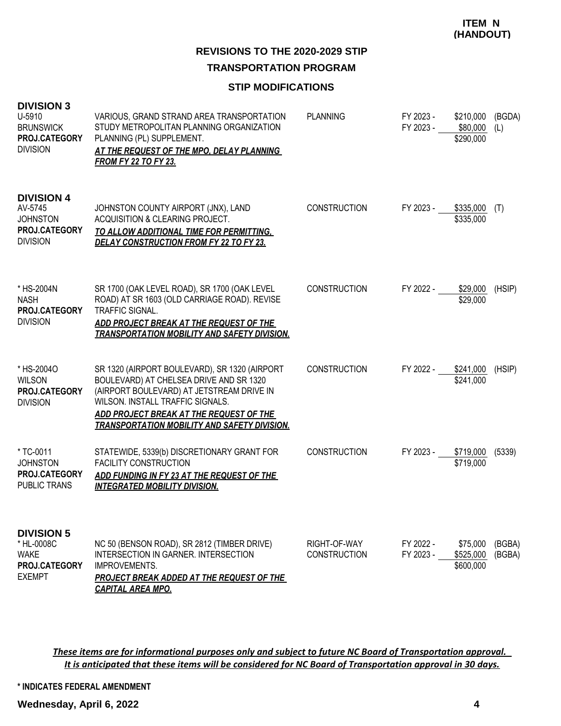# **REVISIONS TO THE 2020-2029 STIP TRANSPORTATION PROGRAM**

#### **STIP MODIFICATIONS**

| <b>DIVISION 3</b><br>U-5910<br><b>BRUNSWICK</b><br>PROJ.CATEGORY<br><b>DIVISION</b>        | VARIOUS, GRAND STRAND AREA TRANSPORTATION<br>STUDY METROPOLITAN PLANNING ORGANIZATION<br>PLANNING (PL) SUPPLEMENT.<br>AT THE REQUEST OF THE MPO, DELAY PLANNING<br><b>FROM FY 22 TO FY 23.</b>                                                                              | <b>PLANNING</b>                     | FY 2023 -<br>FY 2023 - | \$210,000<br>\$80,000<br>\$290,000 | (BGDA)<br>(L)    |
|--------------------------------------------------------------------------------------------|-----------------------------------------------------------------------------------------------------------------------------------------------------------------------------------------------------------------------------------------------------------------------------|-------------------------------------|------------------------|------------------------------------|------------------|
| <b>DIVISION 4</b><br>AV-5745<br><b>JOHNSTON</b><br><b>PROJ.CATEGORY</b><br><b>DIVISION</b> | JOHNSTON COUNTY AIRPORT (JNX), LAND<br>ACQUISITION & CLEARING PROJECT.<br><u>TO ALLOW ADDITIONAL TIME FOR PERMITTING,</u><br><b>DELAY CONSTRUCTION FROM FY 22 TO FY 23.</b>                                                                                                 | <b>CONSTRUCTION</b>                 | FY 2023 -              | \$335,000<br>\$335,000             | (T)              |
| * HS-2004N<br><b>NASH</b><br>PROJ.CATEGORY<br><b>DIVISION</b>                              | SR 1700 (OAK LEVEL ROAD), SR 1700 (OAK LEVEL<br>ROAD) AT SR 1603 (OLD CARRIAGE ROAD). REVISE<br>TRAFFIC SIGNAL.<br>ADD PROJECT BREAK AT THE REQUEST OF THE<br><b>TRANSPORTATION MOBILITY AND SAFETY DIVISION.</b>                                                           | <b>CONSTRUCTION</b>                 | FY 2022 -              | \$29,000<br>\$29,000               | (HSIP)           |
| * HS-2004O<br><b>WILSON</b><br><b>PROJ.CATEGORY</b><br><b>DIVISION</b>                     | SR 1320 (AIRPORT BOULEVARD), SR 1320 (AIRPORT<br>BOULEVARD) AT CHELSEA DRIVE AND SR 1320<br>(AIRPORT BOULEVARD) AT JETSTREAM DRIVE IN<br>WILSON. INSTALL TRAFFIC SIGNALS.<br>ADD PROJECT BREAK AT THE REQUEST OF THE<br><b>TRANSPORTATION MOBILITY AND SAFETY DIVISION.</b> | <b>CONSTRUCTION</b>                 | FY 2022 -              | \$241,000<br>\$241,000             | (HSIP)           |
| * TC-0011<br><b>JOHNSTON</b><br>PROJ.CATEGORY<br>PUBLIC TRANS                              | STATEWIDE, 5339(b) DISCRETIONARY GRANT FOR<br><b>FACILITY CONSTRUCTION</b><br>ADD FUNDING IN FY 23 AT THE REQUEST OF THE<br><b>INTEGRATED MOBILITY DIVISION.</b>                                                                                                            | <b>CONSTRUCTION</b>                 | FY 2023 -              | \$719,000<br>\$719,000             | (5339)           |
| <b>DIVISION 5</b><br>* HL-0008C<br><b>WAKE</b><br>PROJ.CATEGORY<br><b>EXEMPT</b>           | NC 50 (BENSON ROAD), SR 2812 (TIMBER DRIVE)<br><b>INTERSECTION IN GARNER. INTERSECTION</b><br><b>IMPROVEMENTS.</b><br><b>PROJECT BREAK ADDED AT THE REQUEST OF THE</b><br><b>CAPITAL AREA MPO.</b>                                                                          | RIGHT-OF-WAY<br><b>CONSTRUCTION</b> | FY 2022 -<br>FY 2023 - | \$75,000<br>\$525,000<br>\$600,000 | (BGBA)<br>(BGBA) |

*These items are for informational purposes only and subject to future NC Board of Transportation approval. It is anticipated that these items will be considered for NC Board of Transportation approval in 30 days.*

**\* INDICATES FEDERAL AMENDMENT**

**Wednesday, April 6, 2022 4**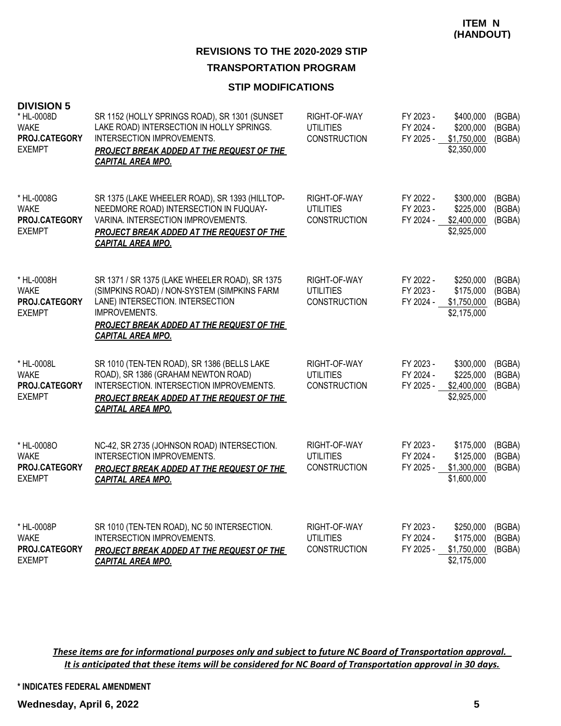#### **STIP MODIFICATIONS**

| <b>DIVISION 5</b><br>* HL-0008D<br><b>WAKE</b><br>PROJ.CATEGORY<br><b>EXEMPT</b> | SR 1152 (HOLLY SPRINGS ROAD), SR 1301 (SUNSET<br>LAKE ROAD) INTERSECTION IN HOLLY SPRINGS.<br><b>INTERSECTION IMPROVEMENTS.</b><br>PROJECT BREAK ADDED AT THE REQUEST OF THE<br><b>CAPITAL AREA MPO.</b>                           | RIGHT-OF-WAY<br>UTILITIES<br><b>CONSTRUCTION</b>        | FY 2023 -<br>FY 2024 -<br>FY 2025 - | \$400,000<br>\$200,000<br>\$1,750,000<br>\$2,350,000 | (BGBA)<br>(BGBA)<br>(BGBA) |
|----------------------------------------------------------------------------------|------------------------------------------------------------------------------------------------------------------------------------------------------------------------------------------------------------------------------------|---------------------------------------------------------|-------------------------------------|------------------------------------------------------|----------------------------|
| * HL-0008G<br><b>WAKE</b><br>PROJ.CATEGORY<br><b>EXEMPT</b>                      | SR 1375 (LAKE WHEELER ROAD), SR 1393 (HILLTOP-<br>NEEDMORE ROAD) INTERSECTION IN FUQUAY-<br>VARINA. INTERSECTION IMPROVEMENTS.<br>PROJECT BREAK ADDED AT THE REQUEST OF THE<br><b>CAPITAL AREA MPO.</b>                            | RIGHT-OF-WAY<br>UTILITIES<br><b>CONSTRUCTION</b>        | FY 2022 -<br>FY 2023 -<br>FY 2024 - | \$300,000<br>\$225,000<br>\$2,400,000<br>\$2,925,000 | (BGBA)<br>(BGBA)<br>(BGBA) |
| * HL-0008H<br><b>WAKE</b><br>PROJ.CATEGORY<br><b>EXEMPT</b>                      | SR 1371 / SR 1375 (LAKE WHEELER ROAD), SR 1375<br>(SIMPKINS ROAD) / NON-SYSTEM (SIMPKINS FARM<br>LANE) INTERSECTION. INTERSECTION<br>IMPROVEMENTS.<br><b>PROJECT BREAK ADDED AT THE REQUEST OF THE</b><br><b>CAPITAL AREA MPO.</b> | RIGHT-OF-WAY<br><b>UTILITIES</b><br><b>CONSTRUCTION</b> | FY 2022 -<br>FY 2023 -<br>FY 2024 - | \$250,000<br>\$175,000<br>\$1,750,000<br>\$2,175,000 | (BGBA)<br>(BGBA)<br>(BGBA) |
| * HL-0008L<br>WAKE<br>PROJ.CATEGORY<br><b>EXEMPT</b>                             | SR 1010 (TEN-TEN ROAD), SR 1386 (BELLS LAKE<br>ROAD), SR 1386 (GRAHAM NEWTON ROAD)<br>INTERSECTION. INTERSECTION IMPROVEMENTS.<br><b>PROJECT BREAK ADDED AT THE REQUEST OF THE</b><br><b>CAPITAL AREA MPO.</b>                     | RIGHT-OF-WAY<br><b>UTILITIES</b><br><b>CONSTRUCTION</b> | FY 2023 -<br>FY 2024 -<br>FY 2025 - | \$300,000<br>\$225,000<br>\$2,400,000<br>\$2,925,000 | (BGBA)<br>(BGBA)<br>(BGBA) |
| * HL-0008O<br>WAKE<br>PROJ.CATEGORY<br><b>EXEMPT</b>                             | NC-42, SR 2735 (JOHNSON ROAD) INTERSECTION.<br>INTERSECTION IMPROVEMENTS.<br><b>PROJECT BREAK ADDED AT THE REQUEST OF THE</b><br><b>CAPITAL AREA MPO.</b>                                                                          | RIGHT-OF-WAY<br>UTILITIES<br><b>CONSTRUCTION</b>        | FY 2023 -<br>FY 2024 -<br>FY 2025 - | \$175,000<br>\$125,000<br>\$1,300,000<br>\$1,600,000 | (BGBA)<br>(BGBA)<br>(BGBA) |
| * HL-0008P<br><b>WAKE</b><br>PROJ.CATEGORY<br><b>EXEMPT</b>                      | SR 1010 (TEN-TEN ROAD), NC 50 INTERSECTION.<br>INTERSECTION IMPROVEMENTS.<br>PROJECT BREAK ADDED AT THE REQUEST OF THE<br><b>CAPITAL AREA MPO.</b>                                                                                 | RIGHT-OF-WAY<br><b>UTILITIES</b><br><b>CONSTRUCTION</b> | FY 2023 -<br>FY 2024 -<br>FY 2025 - | \$250,000<br>\$175,000<br>\$1,750,000<br>\$2,175,000 | (BGBA)<br>(BGBA)<br>(BGBA) |

*These items are for informational purposes only and subject to future NC Board of Transportation approval. It is anticipated that these items will be considered for NC Board of Transportation approval in 30 days.*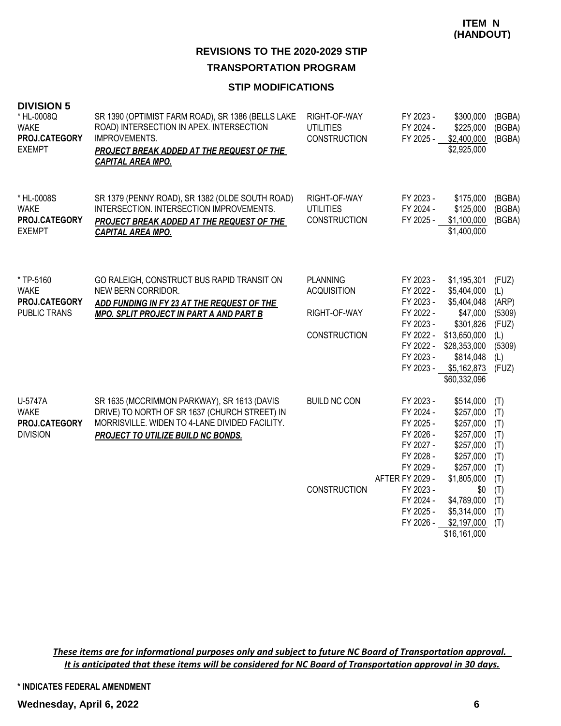#### **STIP MODIFICATIONS**

| <b>DIVISION 5</b><br>* HL-0008Q<br><b>WAKE</b><br>PROJ.CATEGORY<br><b>EXEMPT</b> | SR 1390 (OPTIMIST FARM ROAD), SR 1386 (BELLS LAKE<br>ROAD) INTERSECTION IN APEX. INTERSECTION<br><b>IMPROVEMENTS.</b><br>PROJECT BREAK ADDED AT THE REQUEST OF THE<br><b>CAPITAL AREA MPO.</b> | RIGHT-OF-WAY<br><b>UTILITIES</b><br><b>CONSTRUCTION</b>               | FY 2023 -<br>FY 2024 -<br>FY 2025 -                                                                               | \$300,000<br>\$225,000<br>\$2,400,000<br>\$2,925,000                                                                                           | (BGBA)<br>(BGBA)<br>(BGBA)                                                |
|----------------------------------------------------------------------------------|------------------------------------------------------------------------------------------------------------------------------------------------------------------------------------------------|-----------------------------------------------------------------------|-------------------------------------------------------------------------------------------------------------------|------------------------------------------------------------------------------------------------------------------------------------------------|---------------------------------------------------------------------------|
| * HL-0008S<br><b>WAKE</b><br>PROJ.CATEGORY<br><b>EXEMPT</b>                      | SR 1379 (PENNY ROAD), SR 1382 (OLDE SOUTH ROAD)<br>INTERSECTION. INTERSECTION IMPROVEMENTS.<br>PROJECT BREAK ADDED AT THE REQUEST OF THE<br><b>CAPITAL AREA MPO.</b>                           | RIGHT-OF-WAY<br><b>UTILITIES</b><br><b>CONSTRUCTION</b>               | FY 2023 -<br>FY 2024 -<br>FY 2025 -                                                                               | \$175,000<br>\$125,000<br>\$1,100,000<br>\$1,400,000                                                                                           | (BGBA)<br>(BGBA)<br>(BGBA)                                                |
| * TP-5160<br><b>WAKE</b><br>PROJ.CATEGORY<br>PUBLIC TRANS                        | GO RALEIGH, CONSTRUCT BUS RAPID TRANSIT ON<br>NEW BERN CORRIDOR.<br>ADD FUNDING IN FY 23 AT THE REQUEST OF THE<br><b>MPO. SPLIT PROJECT IN PART A AND PART B</b>                               | <b>PLANNING</b><br><b>ACQUISITION</b><br>RIGHT-OF-WAY<br>CONSTRUCTION | FY 2023 -<br>FY 2022 -<br>FY 2023 -<br>FY 2022 -<br>FY 2023 -<br>FY 2022 -<br>FY 2022 -<br>FY 2023 -<br>FY 2023 - | \$1,195,301<br>\$5,404,000<br>\$5,404,048<br>\$47,000<br>\$301,826<br>\$13,650,000<br>\$28,353,000<br>\$814,048<br>\$5,162,873<br>\$60,332,096 | (FUZ)<br>(L)<br>(ARP)<br>(5309)<br>(FUZ)<br>(L)<br>(5309)<br>(L)<br>(FUZ) |
| U-5747A<br><b>WAKE</b><br>PROJ.CATEGORY<br><b>DIVISION</b>                       | SR 1635 (MCCRIMMON PARKWAY), SR 1613 (DAVIS<br>DRIVE) TO NORTH OF SR 1637 (CHURCH STREET) IN<br>MORRISVILLE. WIDEN TO 4-LANE DIVIDED FACILITY.<br><b>PROJECT TO UTILIZE BUILD NC BONDS.</b>    | <b>BUILD NC CON</b>                                                   | FY 2023 -<br>FY 2024 -<br>FY 2025 -<br>FY 2026 -<br>FY 2027 -<br>FY 2028 -<br>FY 2029 -<br>AFTER FY 2029 -        | \$514,000<br>\$257,000<br>\$257,000<br>\$257,000<br>\$257,000<br>\$257,000<br>\$257,000<br>\$1,805,000                                         | (T)<br>(T)<br>(T)<br>(T)<br>(T)<br>(T)<br>(T)<br>(T)                      |
|                                                                                  |                                                                                                                                                                                                | CONSTRUCTION                                                          | FY 2023 -<br>FY 2024 -<br>FY 2025 -<br>FY 2026 -                                                                  | \$0<br>\$4,789,000<br>\$5,314,000<br>\$2,197,000<br>\$16,161,000                                                                               | (T)<br>(T)<br>(T)<br>(T)                                                  |

*These items are for informational purposes only and subject to future NC Board of Transportation approval. It is anticipated that these items will be considered for NC Board of Transportation approval in 30 days.*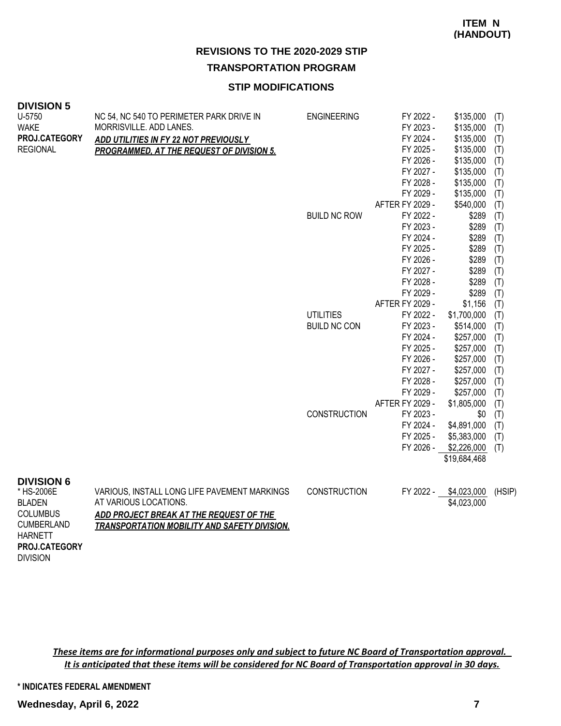**TRANSPORTATION PROGRAM**

## **STIP MODIFICATIONS**

#### **DIVISION 5**

| U-5750                               | NC 54, NC 540 TO PERIMETER PARK DRIVE IN                                                       | <b>ENGINEERING</b>  | FY 2022 -       | \$135,000    | (T)    |
|--------------------------------------|------------------------------------------------------------------------------------------------|---------------------|-----------------|--------------|--------|
| <b>WAKE</b>                          | MORRISVILLE. ADD LANES.                                                                        |                     | FY 2023 -       | \$135,000    | (T)    |
| PROJ.CATEGORY                        | ADD UTILITIES IN FY 22 NOT PREVIOUSLY                                                          |                     | FY 2024 -       | \$135,000    | (T)    |
| <b>REGIONAL</b>                      | <b>PROGRAMMED, AT THE REQUEST OF DIVISION 5.</b>                                               |                     | FY 2025 -       | \$135,000    | (T)    |
|                                      |                                                                                                |                     | FY 2026 -       | \$135,000    | (T)    |
|                                      |                                                                                                |                     | FY 2027 -       | \$135,000    | (T)    |
|                                      |                                                                                                |                     | FY 2028 -       | \$135,000    | (T)    |
|                                      |                                                                                                |                     | FY 2029 -       | \$135,000    | (T)    |
|                                      |                                                                                                |                     | AFTER FY 2029 - | \$540,000    | (T)    |
|                                      |                                                                                                | <b>BUILD NC ROW</b> | FY 2022 -       | \$289        | (T)    |
|                                      |                                                                                                |                     | FY 2023 -       | \$289        | (T)    |
|                                      |                                                                                                |                     | FY 2024 -       | \$289        | (T)    |
|                                      |                                                                                                |                     | FY 2025 -       | \$289        | (T)    |
|                                      |                                                                                                |                     | FY 2026 -       | \$289        | (T)    |
|                                      |                                                                                                |                     | FY 2027 -       | \$289        | (T)    |
|                                      |                                                                                                |                     | FY 2028 -       | \$289        | (T)    |
|                                      |                                                                                                |                     | FY 2029 -       | \$289        | (T)    |
|                                      |                                                                                                |                     | AFTER FY 2029 - | \$1,156      | (T)    |
|                                      |                                                                                                | <b>UTILITIES</b>    | FY 2022 -       | \$1,700,000  | (T)    |
|                                      |                                                                                                | <b>BUILD NC CON</b> | FY 2023 -       | \$514,000    | (T)    |
|                                      |                                                                                                |                     | FY 2024 -       | \$257,000    | (T)    |
|                                      |                                                                                                |                     | FY 2025 -       | \$257,000    | (T)    |
|                                      |                                                                                                |                     | FY 2026 -       | \$257,000    | (T)    |
|                                      |                                                                                                |                     | FY 2027 -       | \$257,000    | (T)    |
|                                      |                                                                                                |                     | FY 2028 -       | \$257,000    | (T)    |
|                                      |                                                                                                |                     | FY 2029 -       | \$257,000    | (T)    |
|                                      |                                                                                                |                     | AFTER FY 2029 - | \$1,805,000  | (T)    |
|                                      |                                                                                                | <b>CONSTRUCTION</b> | FY 2023 -       | \$0          | (T)    |
|                                      |                                                                                                |                     | FY 2024 -       | \$4,891,000  | (T)    |
|                                      |                                                                                                |                     | FY 2025 -       | \$5,383,000  | (T)    |
|                                      |                                                                                                |                     | FY 2026 -       | \$2,226,000  | (T)    |
|                                      |                                                                                                |                     |                 | \$19,684,468 |        |
| <b>DIVISION 6</b>                    |                                                                                                |                     |                 |              |        |
| * HS-2006E                           | VARIOUS, INSTALL LONG LIFE PAVEMENT MARKINGS                                                   | <b>CONSTRUCTION</b> | FY 2022 -       | \$4,023,000  | (HSIP) |
| <b>BLADEN</b>                        | AT VARIOUS LOCATIONS.                                                                          |                     |                 | \$4,023,000  |        |
| <b>COLUMBUS</b><br><b>CUMBERLAND</b> | ADD PROJECT BREAK AT THE REQUEST OF THE<br><b>TRANSPORTATION MOBILITY AND SAFETY DIVISION.</b> |                     |                 |              |        |
| <b>HARNETT</b>                       |                                                                                                |                     |                 |              |        |
| <b>PROJ.CATEGORY</b>                 |                                                                                                |                     |                 |              |        |

*These items are for informational purposes only and subject to future NC Board of Transportation approval. It is anticipated that these items will be considered for NC Board of Transportation approval in 30 days.*

**\* INDICATES FEDERAL AMENDMENT**

DIVISION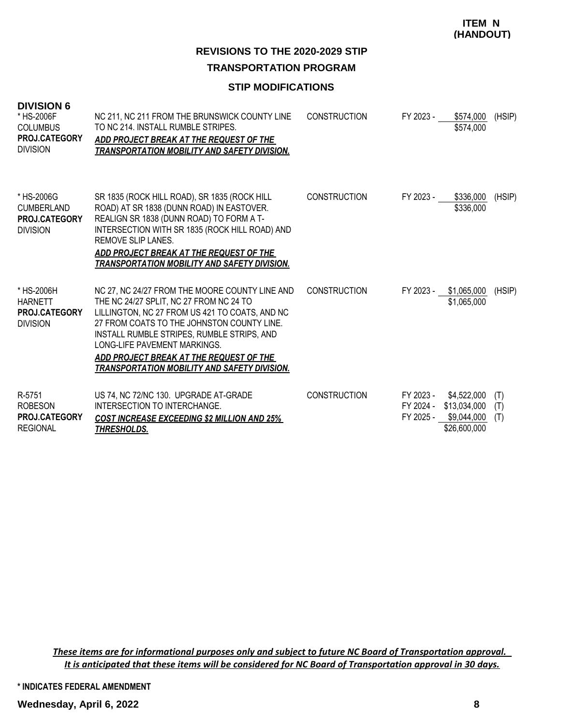# **REVISIONS TO THE 2020-2029 STIP TRANSPORTATION PROGRAM**

#### **STIP MODIFICATIONS**

| <b>DIVISION 6</b><br>* HS-2006F<br><b>COLUMBUS</b><br>PROJ.CATEGORY<br><b>DIVISION</b> | NC 211, NC 211 FROM THE BRUNSWICK COUNTY LINE<br>TO NC 214. INSTALL RUMBLE STRIPES.<br>ADD PROJECT BREAK AT THE REQUEST OF THE<br><b>TRANSPORTATION MOBILITY AND SAFETY DIVISION.</b>                                                                                                                                                                                     | <b>CONSTRUCTION</b> | FY 2023 -              | \$574,000<br>\$574,000                                               | (HSIP)            |
|----------------------------------------------------------------------------------------|---------------------------------------------------------------------------------------------------------------------------------------------------------------------------------------------------------------------------------------------------------------------------------------------------------------------------------------------------------------------------|---------------------|------------------------|----------------------------------------------------------------------|-------------------|
| * HS-2006G<br><b>CUMBERLAND</b><br>PROJ.CATEGORY<br><b>DIVISION</b>                    | SR 1835 (ROCK HILL ROAD), SR 1835 (ROCK HILL<br>ROAD) AT SR 1838 (DUNN ROAD) IN EASTOVER.<br>REALIGN SR 1838 (DUNN ROAD) TO FORM A T-<br>INTERSECTION WITH SR 1835 (ROCK HILL ROAD) AND<br>REMOVE SLIP LANES.<br>ADD PROJECT BREAK AT THE REQUEST OF THE<br><b>TRANSPORTATION MOBILITY AND SAFETY DIVISION.</b>                                                           | <b>CONSTRUCTION</b> | FY 2023 -              | \$336,000<br>\$336,000                                               | (HSIP)            |
| * HS-2006H<br><b>HARNETT</b><br>PROJ.CATEGORY<br><b>DIVISION</b>                       | NC 27, NC 24/27 FROM THE MOORE COUNTY LINE AND<br>THE NC 24/27 SPLIT, NC 27 FROM NC 24 TO<br>LILLINGTON, NC 27 FROM US 421 TO COATS, AND NC<br>27 FROM COATS TO THE JOHNSTON COUNTY LINE.<br>INSTALL RUMBLE STRIPES, RUMBLE STRIPS, AND<br>LONG-LIFE PAVEMENT MARKINGS.<br>ADD PROJECT BREAK AT THE REQUEST OF THE<br><b>TRANSPORTATION MOBILITY AND SAFETY DIVISION.</b> | <b>CONSTRUCTION</b> | FY 2023 -              | \$1,065,000<br>\$1,065,000                                           | (HSIP)            |
| R-5751<br><b>ROBESON</b><br><b>PROJ.CATEGORY</b><br><b>REGIONAL</b>                    | US 74, NC 72/NC 130. UPGRADE AT-GRADE<br>INTERSECTION TO INTERCHANGE.<br><b>COST INCREASE EXCEEDING \$2 MILLION AND 25%</b><br>THRESHOLDS.                                                                                                                                                                                                                                | <b>CONSTRUCTION</b> | FY 2023 -<br>FY 2025 - | \$4,522,000<br>FY 2024 - \$13,034,000<br>\$9,044,000<br>\$26,600,000 | (T)<br>(T)<br>(T) |

*These items are for informational purposes only and subject to future NC Board of Transportation approval. It is anticipated that these items will be considered for NC Board of Transportation approval in 30 days.*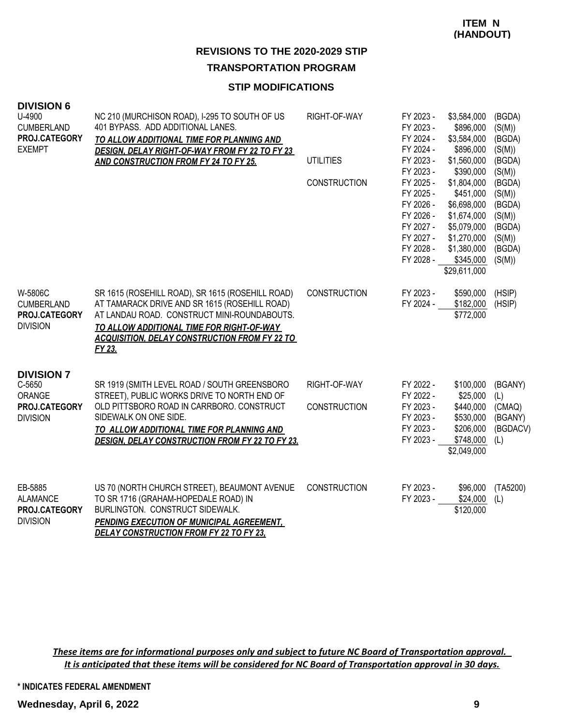# **STIP MODIFICATIONS**

| <b>DIVISION 6</b><br>U-4900<br><b>CUMBERLAND</b><br>PROJ.CATEGORY<br><b>EXEMPT</b> | NC 210 (MURCHISON ROAD), I-295 TO SOUTH OF US<br>401 BYPASS. ADD ADDITIONAL LANES.<br>TO ALLOW ADDITIONAL TIME FOR PLANNING AND<br>DESIGN, DELAY RIGHT-OF-WAY FROM FY 22 TO FY 23<br>AND CONSTRUCTION FROM FY 24 TO FY 25.                                               | RIGHT-OF-WAY<br><b>UTILITIES</b><br><b>CONSTRUCTION</b> | FY 2023 -<br>FY 2023 -<br>FY 2024 -<br>FY 2024 -<br>FY 2023 -<br>FY 2023 -<br>FY 2025 -<br>FY 2025 -<br>FY 2026 - | \$3,584,000<br>\$896,000<br>\$3,584,000<br>\$896,000<br>\$1,560,000<br>\$390,000<br>\$1,804,000<br>\$451,000<br>\$6,698,000 | (BGDA)<br>(S(M))<br>(BGDA)<br>(S(M))<br>(BGDA)<br>(S(M))<br>(BGDA)<br>(S(M))<br>(BGDA) |
|------------------------------------------------------------------------------------|--------------------------------------------------------------------------------------------------------------------------------------------------------------------------------------------------------------------------------------------------------------------------|---------------------------------------------------------|-------------------------------------------------------------------------------------------------------------------|-----------------------------------------------------------------------------------------------------------------------------|----------------------------------------------------------------------------------------|
|                                                                                    |                                                                                                                                                                                                                                                                          |                                                         | FY 2026 -<br>FY 2027 -<br>FY 2027 -<br>FY 2028 -<br>FY 2028 -                                                     | \$1,674,000<br>\$5,079,000<br>\$1,270,000<br>\$1,380,000<br>\$345,000<br>\$29,611,000                                       | (S(M))<br>(BGDA)<br>(S(M))<br>(BGDA)<br>(S(M))                                         |
| W-5806C<br><b>CUMBERLAND</b><br>PROJ.CATEGORY<br><b>DIVISION</b>                   | SR 1615 (ROSEHILL ROAD), SR 1615 (ROSEHILL ROAD)<br>AT TAMARACK DRIVE AND SR 1615 (ROSEHILL ROAD)<br>AT LANDAU ROAD. CONSTRUCT MINI-ROUNDABOUTS.<br>TO ALLOW ADDITIONAL TIME FOR RIGHT-OF-WAY<br><b>ACQUISITION, DELAY CONSTRUCTION FROM FY 22 TO</b><br>FY 23.          | <b>CONSTRUCTION</b>                                     | FY 2023 -<br>FY 2024 -                                                                                            | \$590,000<br>\$182,000<br>\$772,000                                                                                         | (HSIP)<br>(HSIP)                                                                       |
| <b>DIVISION 7</b><br>C-5650<br>ORANGE<br>PROJ.CATEGORY<br><b>DIVISION</b>          | SR 1919 (SMITH LEVEL ROAD / SOUTH GREENSBORO<br>STREET), PUBLIC WORKS DRIVE TO NORTH END OF<br>OLD PITTSBORO ROAD IN CARRBORO. CONSTRUCT<br>SIDEWALK ON ONE SIDE.<br>TO ALLOW ADDITIONAL TIME FOR PLANNING AND<br><b>DESIGN, DELAY CONSTRUCTION FROM FY 22 TO FY 23.</b> | RIGHT-OF-WAY<br><b>CONSTRUCTION</b>                     | FY 2022 -<br>FY 2022 -<br>FY 2023 -<br>FY 2023 -<br>FY 2023 -<br>FY 2023 -                                        | \$100,000<br>\$25,000<br>\$440,000<br>\$530,000<br>\$206,000<br>\$748,000<br>\$2,049,000                                    | (BGANY)<br>(L)<br>(CMAQ)<br>(BGANY)<br>(BGDACV)<br>(L)                                 |
| EB-5885<br><b>ALAMANCE</b><br>PROJ.CATEGORY<br><b>DIVISION</b>                     | US 70 (NORTH CHURCH STREET), BEAUMONT AVENUE<br>TO SR 1716 (GRAHAM-HOPEDALE ROAD) IN<br>BURLINGTON. CONSTRUCT SIDEWALK.<br>PENDING EXECUTION OF MUNICIPAL AGREEMENT,<br><b>DELAY CONSTRUCTION FROM FY 22 TO FY 23,</b>                                                   | <b>CONSTRUCTION</b>                                     | FY 2023 -<br>FY 2023 -                                                                                            | \$96,000<br>\$24,000<br>\$120,000                                                                                           | (TA5200)<br>(L)                                                                        |

*These items are for informational purposes only and subject to future NC Board of Transportation approval. It is anticipated that these items will be considered for NC Board of Transportation approval in 30 days.*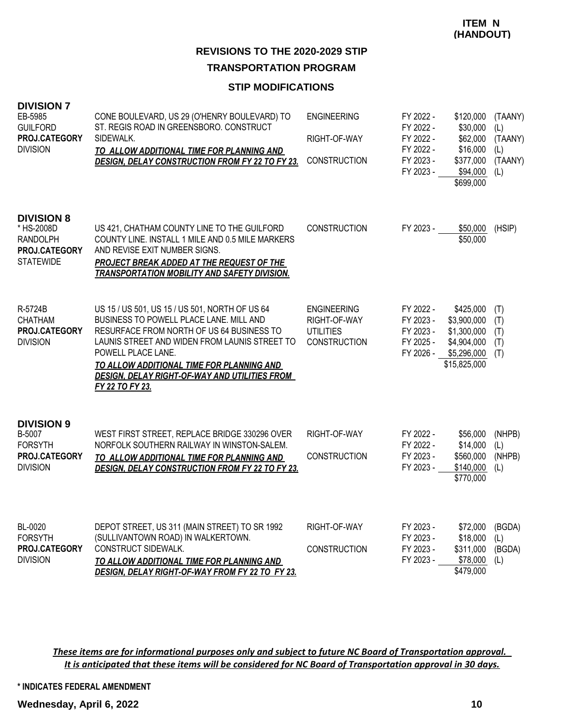#### **STIP MODIFICATIONS**

| <b>DIVISION 7</b><br>EB-5985<br><b>GUILFORD</b><br>PROJ.CATEGORY<br><b>DIVISION</b>     | CONE BOULEVARD, US 29 (O'HENRY BOULEVARD) TO<br>ST. REGIS ROAD IN GREENSBORO. CONSTRUCT<br>SIDEWALK.<br>TO ALLOW ADDITIONAL TIME FOR PLANNING AND<br><b>DESIGN, DELAY CONSTRUCTION FROM FY 22 TO FY 23.</b>                                                                                                                           | <b>ENGINEERING</b><br>RIGHT-OF-WAY<br><b>CONSTRUCTION</b>                     | FY 2022 -<br>FY 2022 -<br>FY 2022 -<br>FY 2022 -<br>FY 2023 -<br>FY 2023 - | \$120,000<br>\$30,000<br>\$62,000<br>\$16,000<br>\$377,000<br>\$94,000<br>\$699,000   | (TAANY)<br>(L)<br>(TAANY)<br>(L)<br>(TAANY)<br>(L) |
|-----------------------------------------------------------------------------------------|---------------------------------------------------------------------------------------------------------------------------------------------------------------------------------------------------------------------------------------------------------------------------------------------------------------------------------------|-------------------------------------------------------------------------------|----------------------------------------------------------------------------|---------------------------------------------------------------------------------------|----------------------------------------------------|
| <b>DIVISION 8</b><br>* HS-2008D<br><b>RANDOLPH</b><br>PROJ.CATEGORY<br><b>STATEWIDE</b> | US 421, CHATHAM COUNTY LINE TO THE GUILFORD<br>COUNTY LINE. INSTALL 1 MILE AND 0.5 MILE MARKERS<br>AND REVISE EXIT NUMBER SIGNS.<br>PROJECT BREAK ADDED AT THE REQUEST OF THE<br>TRANSPORTATION MOBILITY AND SAFETY DIVISION.                                                                                                         | <b>CONSTRUCTION</b>                                                           | FY 2023 -                                                                  | \$50,000<br>\$50,000                                                                  | (HSIP)                                             |
| R-5724B<br><b>CHATHAM</b><br>PROJ.CATEGORY<br><b>DIVISION</b>                           | US 15 / US 501, US 15 / US 501, NORTH OF US 64<br>BUSINESS TO POWELL PLACE LANE. MILL AND<br>RESURFACE FROM NORTH OF US 64 BUSINESS TO<br>LAUNIS STREET AND WIDEN FROM LAUNIS STREET TO<br>POWELL PLACE LANE.<br>TO ALLOW ADDITIONAL TIME FOR PLANNING AND<br><b>DESIGN, DELAY RIGHT-OF-WAY AND UTILITIES FROM</b><br>FY 22 TO FY 23. | <b>ENGINEERING</b><br>RIGHT-OF-WAY<br><b>UTILITIES</b><br><b>CONSTRUCTION</b> | FY 2022 -<br>FY 2023 -<br>FY 2023 -<br>FY 2025 -<br>FY 2026 -              | \$425,000<br>\$3,900,000<br>\$1,300,000<br>\$4,904,000<br>\$5,296,000<br>\$15,825,000 | (T)<br>(T)<br>(T)<br>(T)<br>(T)                    |
| <b>DIVISION 9</b><br>B-5007<br><b>FORSYTH</b><br>PROJ.CATEGORY<br><b>DIVISION</b>       | WEST FIRST STREET, REPLACE BRIDGE 330296 OVER<br>NORFOLK SOUTHERN RAILWAY IN WINSTON-SALEM.<br>TO ALLOW ADDITIONAL TIME FOR PLANNING AND<br><b>DESIGN, DELAY CONSTRUCTION FROM FY 22 TO FY 23.</b>                                                                                                                                    | RIGHT-OF-WAY<br><b>CONSTRUCTION</b>                                           | FY 2022 -<br>FY 2022 -<br>FY 2023 -<br>FY 2023 -                           | \$56,000<br>\$14,000<br>\$560,000<br>\$140,000<br>\$770,000                           | (NHPB)<br>(L)<br>(NHPB)<br>(L)                     |
| BL-0020<br><b>FORSYTH</b><br>PROJ.CATEGORY<br><b>DIVISION</b>                           | DEPOT STREET, US 311 (MAIN STREET) TO SR 1992<br>(SULLIVANTOWN ROAD) IN WALKERTOWN.<br>CONSTRUCT SIDEWALK.<br>TO ALLOW ADDITIONAL TIME FOR PLANNING AND<br>DESIGN, DELAY RIGHT-OF-WAY FROM FY 22 TO FY 23.                                                                                                                            | RIGHT-OF-WAY<br><b>CONSTRUCTION</b>                                           | FY 2023 -<br>FY 2023 -<br>FY 2023 -<br>FY 2023 -                           | \$72,000<br>\$18,000<br>\$311,000<br>\$78,000<br>\$479,000                            | (BGDA)<br>(L)<br>(BGDA)<br>(L)                     |

*These items are for informational purposes only and subject to future NC Board of Transportation approval. It is anticipated that these items will be considered for NC Board of Transportation approval in 30 days.*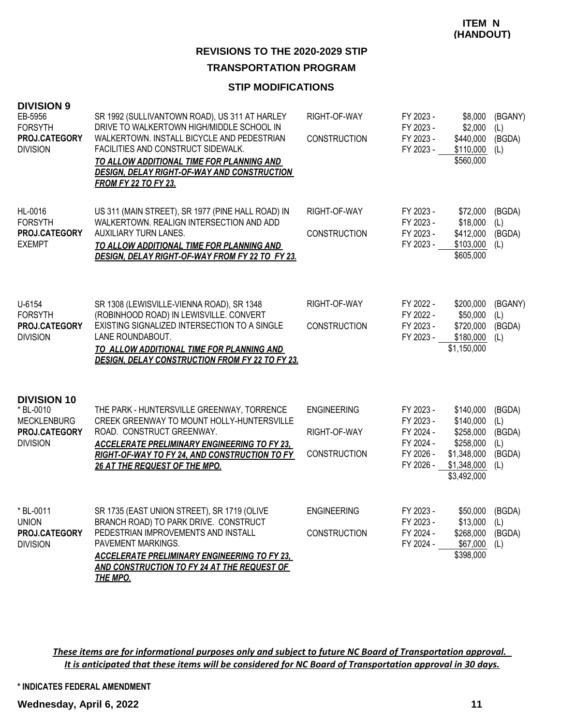#### **STIP MODIFICATIONS**

| <b>DIVISION 9</b><br>EB-5956<br><b>FORSYTH</b><br>PROJ.CATEGORY<br><b>DIVISION</b>        | SR 1992 (SULLIVANTOWN ROAD), US 311 AT HARLEY<br>DRIVE TO WALKERTOWN HIGH/MIDDLE SCHOOL IN<br>WALKERTOWN. INSTALL BICYCLE AND PEDESTRIAN<br>FACILITIES AND CONSTRUCT SIDEWALK.<br>TO ALLOW ADDITIONAL TIME FOR PLANNING AND<br>DESIGN, DELAY RIGHT-OF-WAY AND CONSTRUCTION<br><b>FROM FY 22 TO FY 23.</b> | RIGHT-OF-WAY<br>CONSTRUCTION                              | FY 2023 -<br>FY 2023 -<br>FY 2023 -<br>FY 2023 -                           | \$8,000<br>\$2,000<br>\$440,000<br>$$110,000$ (L)<br>\$560,000                                | (BGANY)<br>(L)<br>(BGDA)                        |
|-------------------------------------------------------------------------------------------|-----------------------------------------------------------------------------------------------------------------------------------------------------------------------------------------------------------------------------------------------------------------------------------------------------------|-----------------------------------------------------------|----------------------------------------------------------------------------|-----------------------------------------------------------------------------------------------|-------------------------------------------------|
| HL-0016<br><b>FORSYTH</b><br>PROJ.CATEGORY<br><b>EXEMPT</b>                               | US 311 (MAIN STREET), SR 1977 (PINE HALL ROAD) IN<br>WALKERTOWN. REALIGN INTERSECTION AND ADD<br>AUXILIARY TURN LANES.<br>TO ALLOW ADDITIONAL TIME FOR PLANNING AND<br>DESIGN, DELAY RIGHT-OF-WAY FROM FY 22 TO FY 23.                                                                                    | RIGHT-OF-WAY<br><b>CONSTRUCTION</b>                       | FY 2023 -<br>FY 2023 -<br>FY 2023 -<br>FY 2023 -                           | \$72,000<br>\$18,000<br>\$412,000<br>\$103,000<br>\$605,000                                   | (BGDA)<br>(L)<br>(BGDA)<br>(L)                  |
| U-6154<br><b>FORSYTH</b><br>PROJ.CATEGORY<br><b>DIVISION</b>                              | SR 1308 (LEWISVILLE-VIENNA ROAD), SR 1348<br>(ROBINHOOD ROAD) IN LEWISVILLE. CONVERT<br>EXISTING SIGNALIZED INTERSECTION TO A SINGLE<br>LANE ROUNDABOUT.<br>TO ALLOW ADDITIONAL TIME FOR PLANNING AND<br><b>DESIGN, DELAY CONSTRUCTION FROM FY 22 TO FY 23.</b>                                           | RIGHT-OF-WAY<br><b>CONSTRUCTION</b>                       | FY 2022 -<br>FY 2022 -<br>FY 2023 -<br>FY 2023 -                           | \$200,000<br>\$50,000<br>\$720,000<br>$$180,000$ (L)<br>\$1,150,000                           | (BGANY)<br>(L)<br>(BGDA)                        |
| <b>DIVISION 10</b><br>* BL-0010<br><b>MECKLENBURG</b><br>PROJ.CATEGORY<br><b>DIVISION</b> | THE PARK - HUNTERSVILLE GREENWAY, TORRENCE<br>CREEK GREENWAY TO MOUNT HOLLY-HUNTERSVILLE<br>ROAD. CONSTRUCT GREENWAY.<br><b>ACCELERATE PRELIMINARY ENGINEERING TO FY 23,</b><br>RIGHT-OF-WAY TO FY 24, AND CONSTRUCTION TO FY<br>26 AT THE REQUEST OF THE MPO.                                            | <b>ENGINEERING</b><br>RIGHT-OF-WAY<br><b>CONSTRUCTION</b> | FY 2023 -<br>FY 2023 -<br>FY 2024 -<br>FY 2024 -<br>FY 2026 -<br>FY 2026 - | \$140,000<br>\$140,000<br>\$258,000<br>\$258,000<br>\$1,348,000<br>\$1,348,000<br>\$3,492,000 | (BGDA)<br>(L)<br>(BGDA)<br>(L)<br>(BGDA)<br>(L) |
| * BL-0011<br><b>UNION</b><br>PROJ.CATEGORY<br><b>DIVISION</b>                             | SR 1735 (EAST UNION STREET), SR 1719 (OLIVE<br>BRANCH ROAD) TO PARK DRIVE. CONSTRUCT<br>PEDESTRIAN IMPROVEMENTS AND INSTALL<br>PAVEMENT MARKINGS.<br><b>ACCELERATE PRELIMINARY ENGINEERING TO FY 23.</b><br>AND CONSTRUCTION TO FY 24 AT THE REQUEST OF<br><b>THE MPO.</b>                                | <b>ENGINEERING</b><br>CONSTRUCTION                        | FY 2023 -<br>FY 2023 -<br>FY 2024 -<br>FY 2024 -                           | \$50,000<br>\$13,000<br>\$268,000<br>\$67,000<br>\$398,000                                    | (BGDA)<br>(L)<br>(BGDA)<br>(L)                  |

*These items are for informational purposes only and subject to future NC Board of Transportation approval. It is anticipated that these items will be considered for NC Board of Transportation approval in 30 days.*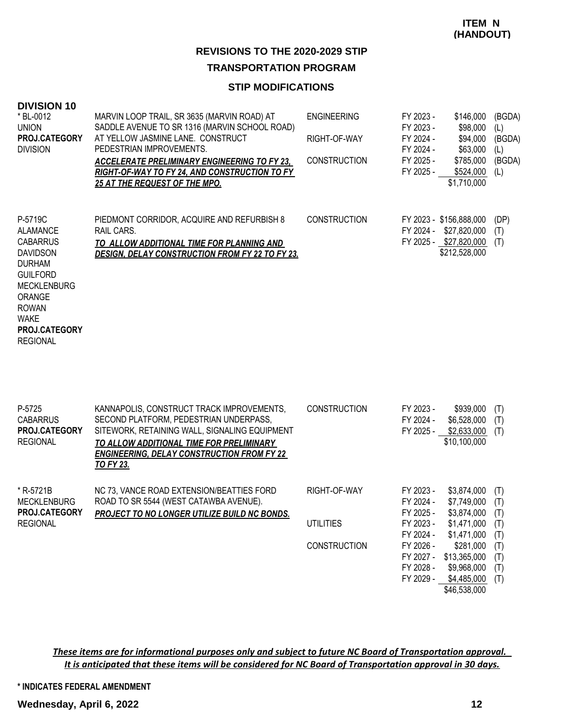# **TRANSPORTATION PROGRAM**

## **STIP MODIFICATIONS**

| <b>DIVISION 10</b><br>* BL-0012<br><b>UNION</b><br><b>PROJ.CATEGORY</b><br><b>DIVISION</b>                                                                                                                     | MARVIN LOOP TRAIL, SR 3635 (MARVIN ROAD) AT<br>SADDLE AVENUE TO SR 1316 (MARVIN SCHOOL ROAD)<br>AT YELLOW JASMINE LANE. CONSTRUCT<br>PEDESTRIAN IMPROVEMENTS.<br><b>ACCELERATE PRELIMINARY ENGINEERING TO FY 23.</b><br>RIGHT-OF-WAY TO FY 24. AND CONSTRUCTION TO FY<br><u>25 AT THE REQUEST OF THE MPO.</u> | <b>ENGINEERING</b><br>RIGHT-OF-WAY<br><b>CONSTRUCTION</b> | FY 2023 -<br>FY 2023 -<br>FY 2024 -<br>FY 2024 -<br>FY 2025 -<br>FY 2025 - | \$146,000<br>\$98,000<br>\$94,000<br>\$63,000<br>\$785,000<br>\$524,000<br>\$1,710,000 | (BGDA)<br>(L)<br>(BGDA)<br>(L)<br>(BGDA)<br>(L) |
|----------------------------------------------------------------------------------------------------------------------------------------------------------------------------------------------------------------|---------------------------------------------------------------------------------------------------------------------------------------------------------------------------------------------------------------------------------------------------------------------------------------------------------------|-----------------------------------------------------------|----------------------------------------------------------------------------|----------------------------------------------------------------------------------------|-------------------------------------------------|
| P-5719C<br>ALAMANCE<br><b>CABARRUS</b><br><b>DAVIDSON</b><br><b>DURHAM</b><br><b>GUILFORD</b><br><b>MECKLENBURG</b><br><b>ORANGE</b><br><b>ROWAN</b><br><b>WAKE</b><br><b>PROJ.CATEGORY</b><br><b>REGIONAL</b> | PIEDMONT CORRIDOR, ACQUIRE AND REFURBISH 8<br>RAIL CARS.<br>TO ALLOW ADDITIONAL TIME FOR PLANNING AND<br><b>DESIGN, DELAY CONSTRUCTION FROM FY 22 TO FY 23.</b>                                                                                                                                               | <b>CONSTRUCTION</b>                                       | FY 2024 -                                                                  | FY 2023 - \$156,888,000<br>\$27,820,000<br>FY 2025 - \$27,820,000<br>\$212,528,000     | (DP)<br>(T)<br>(T)                              |

| KANNAPOLIS, CONSTRUCT TRACK IMPROVEMENTS,<br>SECOND PLATFORM, PEDESTRIAN UNDERPASS,<br>SITEWORK, RETAINING WALL, SIGNALING EQUIPMENT<br>TO ALLOW ADDITIONAL TIME FOR PRELIMINARY<br><b>ENGINEERING, DELAY CONSTRUCTION FROM FY 22</b><br><u>TO FY 23.</u> | <b>CONSTRUCTION</b>                          | FY 2023 -<br>FY 2024 -<br>FY 2025 -              | \$939,000<br>\$6,528,000<br>\$2,633,000<br>\$10,100,000 | (T)<br>(T)<br>(T)        |
|-----------------------------------------------------------------------------------------------------------------------------------------------------------------------------------------------------------------------------------------------------------|----------------------------------------------|--------------------------------------------------|---------------------------------------------------------|--------------------------|
| NC 73, VANCE ROAD EXTENSION/BEATTIES FORD<br>ROAD TO SR 5544 (WEST CATAWBA AVENUE).                                                                                                                                                                       | RIGHT-OF-WAY                                 | FY 2023 -<br>FY 2024 -<br>FY 2025 -              | \$3,874,000<br>\$7,749,000<br>\$3,874,000               | (T)<br>(T)<br>(T)        |
|                                                                                                                                                                                                                                                           | UTILITIES                                    | FY 2023 -<br>FY 2024 -                           | \$1,471,000<br>\$1,471,000                              | (T)<br>(T)               |
|                                                                                                                                                                                                                                                           | <b>CONSTRUCTION</b>                          | FY 2026 -<br>FY 2027 -<br>FY 2028 -<br>FY 2029 - | \$281,000<br>\$13,365,000<br>\$9,968,000<br>\$4,485,000 | (T)<br>(T)<br>(T)<br>(T) |
|                                                                                                                                                                                                                                                           | PROJECT TO NO LONGER UTILIZE BUILD NC BONDS. |                                                  |                                                         | \$46,538,000             |

*These items are for informational purposes only and subject to future NC Board of Transportation approval. It is anticipated that these items will be considered for NC Board of Transportation approval in 30 days.*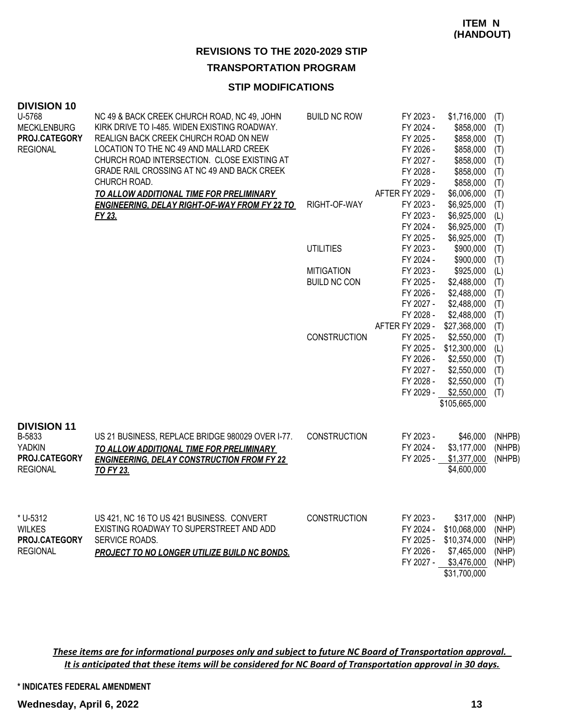**TRANSPORTATION PROGRAM**

#### **STIP MODIFICATIONS**

| <b>DIVISION 10</b>           |                                                                                                  |                     |                        |                        |            |
|------------------------------|--------------------------------------------------------------------------------------------------|---------------------|------------------------|------------------------|------------|
| U-5768                       | NC 49 & BACK CREEK CHURCH ROAD, NC 49, JOHN                                                      | <b>BUILD NC ROW</b> | FY 2023 -              | \$1,716,000            | (T)        |
| <b>MECKLENBURG</b>           | KIRK DRIVE TO I-485. WIDEN EXISTING ROADWAY.                                                     |                     | FY 2024 -              | \$858,000              | (T)        |
| PROJ.CATEGORY                | REALIGN BACK CREEK CHURCH ROAD ON NEW<br>LOCATION TO THE NC 49 AND MALLARD CREEK                 |                     | FY 2025 -              | \$858,000              | (T)        |
| <b>REGIONAL</b>              | CHURCH ROAD INTERSECTION. CLOSE EXISTING AT                                                      |                     | FY 2026 -              | \$858,000              | (T)        |
|                              | GRADE RAIL CROSSING AT NC 49 AND BACK CREEK                                                      |                     | FY 2027 -<br>FY 2028 - | \$858,000              | (T)        |
|                              | CHURCH ROAD.                                                                                     |                     | FY 2029 -              | \$858,000<br>\$858,000 | (T)        |
|                              |                                                                                                  |                     | AFTER FY 2029 -        | \$6,006,000            | (T)        |
|                              | TO ALLOW ADDITIONAL TIME FOR PRELIMINARY<br><b>ENGINEERING, DELAY RIGHT-OF-WAY FROM FY 22 TO</b> | RIGHT-OF-WAY        | FY 2023 -              | \$6,925,000            | (T)<br>(T) |
|                              | FY 23.                                                                                           |                     | FY 2023 -              | \$6,925,000            |            |
|                              |                                                                                                  |                     | FY 2024 -              | \$6,925,000            | (L)        |
|                              |                                                                                                  |                     | FY 2025 -              | \$6,925,000            | (T)<br>(T) |
|                              |                                                                                                  | <b>UTILITIES</b>    | FY 2023 -              | \$900,000              | (T)        |
|                              |                                                                                                  |                     | FY 2024 -              | \$900,000              | (T)        |
|                              |                                                                                                  | <b>MITIGATION</b>   | FY 2023 -              | \$925,000              | (L)        |
|                              |                                                                                                  | <b>BUILD NC CON</b> | FY 2025 -              | \$2,488,000            | (T)        |
|                              |                                                                                                  |                     | FY 2026 -              | \$2,488,000            | (T)        |
|                              |                                                                                                  |                     | FY 2027 -              | \$2,488,000            | (T)        |
|                              |                                                                                                  |                     | FY 2028 -              | \$2,488,000            | (T)        |
|                              |                                                                                                  |                     | AFTER FY 2029 -        | \$27,368,000           | (T)        |
|                              |                                                                                                  | <b>CONSTRUCTION</b> | FY 2025 -              | \$2,550,000            | (T)        |
|                              |                                                                                                  |                     | FY 2025 -              | \$12,300,000           | (L)        |
|                              |                                                                                                  |                     | FY 2026 -              | \$2,550,000            | (T)        |
|                              |                                                                                                  |                     | FY 2027 -              | \$2,550,000            | (T)        |
|                              |                                                                                                  |                     | FY 2028 -              | \$2,550,000            | (T)        |
|                              |                                                                                                  |                     |                        | FY 2029 - \$2,550,000  | (T)        |
|                              |                                                                                                  |                     |                        | \$105,665,000          |            |
|                              |                                                                                                  |                     |                        |                        |            |
| <b>DIVISION 11</b><br>B-5833 | US 21 BUSINESS, REPLACE BRIDGE 980029 OVER I-77.                                                 | <b>CONSTRUCTION</b> | FY 2023 -              | \$46,000               | (NHPB)     |
| <b>YADKIN</b>                |                                                                                                  |                     | FY 2024 -              | \$3,177,000            | (NHPB)     |
| PROJ.CATEGORY                | TO ALLOW ADDITIONAL TIME FOR PRELIMINARY                                                         |                     | FY 2025 -              | \$1,377,000            | (NHPB)     |
| <b>REGIONAL</b>              | <b>ENGINEERING, DELAY CONSTRUCTION FROM FY 22</b><br><b>TO FY 23.</b>                            |                     |                        | \$4,600,000            |            |
|                              |                                                                                                  |                     |                        |                        |            |
|                              |                                                                                                  |                     |                        |                        |            |
| * U-5312                     | US 421, NC 16 TO US 421 BUSINESS. CONVERT                                                        | <b>CONSTRUCTION</b> | FY 2023 -              | \$317,000              | (NHP)      |
| <b>WILKES</b>                | EXISTING ROADWAY TO SUPERSTREET AND ADD                                                          |                     | FY 2024 -              | \$10,068,000           | (NHP)      |
| PROJ.CATEGORY                | SERVICE ROADS.                                                                                   |                     | FY 2025 -              | \$10,374,000           | (NHP)      |
| <b>REGIONAL</b>              | PROJECT TO NO LONGER UTILIZE BUILD NC BONDS.                                                     |                     | FY 2026 -              | \$7,465,000            | (NHP)      |
|                              |                                                                                                  |                     | FY 2027 -              | \$3,476,000            | (NHP)      |
|                              |                                                                                                  |                     |                        | \$31,700,000           |            |
|                              |                                                                                                  |                     |                        |                        |            |

*These items are for informational purposes only and subject to future NC Board of Transportation approval. It is anticipated that these items will be considered for NC Board of Transportation approval in 30 days.*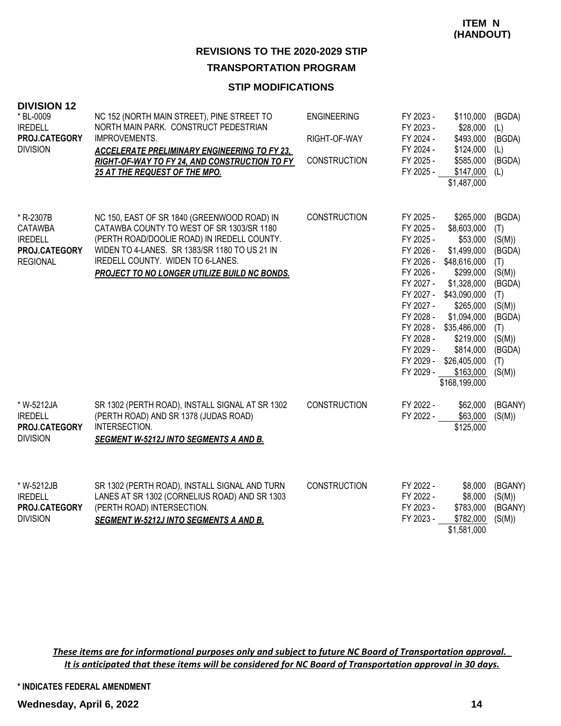#### **STIP MODIFICATIONS**

| <b>DIVISION 12</b><br>* BL-0009<br><b>IREDELL</b><br>PROJ.CATEGORY<br><b>DIVISION</b> | NC 152 (NORTH MAIN STREET), PINE STREET TO<br>NORTH MAIN PARK. CONSTRUCT PEDESTRIAN<br>IMPROVEMENTS.<br><b>ACCELERATE PRELIMINARY ENGINEERING TO FY 23,</b><br>RIGHT-OF-WAY TO FY 24, AND CONSTRUCTION TO FY<br>25 AT THE REQUEST OF THE MPO.                                 | <b>ENGINEERING</b><br>RIGHT-OF-WAY<br><b>CONSTRUCTION</b> | FY 2023 -<br>FY 2023 -<br>FY 2024 -<br>FY 2024 -<br>FY 2025 -<br>FY 2025 -                                                                                                                      | \$110,000<br>\$28,000<br>\$493,000<br>\$124,000<br>\$585,000<br>\$147,000<br>\$1,487,000                                                                                                                                            | (BGDA)<br>(L)<br>(BGDA)<br>(L)<br>(BGDA)<br>(L)                                                                                     |
|---------------------------------------------------------------------------------------|-------------------------------------------------------------------------------------------------------------------------------------------------------------------------------------------------------------------------------------------------------------------------------|-----------------------------------------------------------|-------------------------------------------------------------------------------------------------------------------------------------------------------------------------------------------------|-------------------------------------------------------------------------------------------------------------------------------------------------------------------------------------------------------------------------------------|-------------------------------------------------------------------------------------------------------------------------------------|
| * R-2307B<br><b>CATAWBA</b><br><b>IREDELL</b><br>PROJ.CATEGORY<br><b>REGIONAL</b>     | NC 150, EAST OF SR 1840 (GREENWOOD ROAD) IN<br>CATAWBA COUNTY TO WEST OF SR 1303/SR 1180<br>(PERTH ROAD/DOOLIE ROAD) IN IREDELL COUNTY.<br>WIDEN TO 4-LANES. SR 1383/SR 1180 TO US 21 IN<br>IREDELL COUNTY. WIDEN TO 6-LANES.<br>PROJECT TO NO LONGER UTILIZE BUILD NC BONDS. | <b>CONSTRUCTION</b>                                       | FY 2025 -<br>FY 2025 -<br>FY 2025 -<br>FY 2026 -<br>FY 2026 -<br>FY 2026 -<br>FY 2027 -<br>FY 2027 -<br>FY 2027 -<br>FY 2028 -<br>FY 2028 -<br>FY 2028 -<br>FY 2029 -<br>FY 2029 -<br>FY 2029 - | \$265,000<br>\$8,603,000<br>\$53,000<br>\$1,499,000<br>\$48,616,000<br>\$299,000<br>\$1,328,000<br>\$43,090,000<br>\$265,000<br>\$1,094,000<br>\$35,486,000<br>\$219,000<br>\$814,000<br>\$26,405,000<br>\$163,000<br>\$168,199,000 | (BGDA)<br>(T)<br>(S(M))<br>(BGDA)<br>(T)<br>(S(M))<br>(BGDA)<br>(T)<br>(S(M))<br>(BGDA)<br>(T)<br>(S(M))<br>(BGDA)<br>(T)<br>(S(M)) |
| * W-5212JA<br><b>IREDELL</b><br>PROJ.CATEGORY<br><b>DIVISION</b>                      | SR 1302 (PERTH ROAD), INSTALL SIGNAL AT SR 1302<br>(PERTH ROAD) AND SR 1378 (JUDAS ROAD)<br>INTERSECTION.<br><b>SEGMENT W-5212J INTO SEGMENTS A AND B.</b>                                                                                                                    | <b>CONSTRUCTION</b>                                       | FY 2022 -<br>FY 2022 -                                                                                                                                                                          | \$62,000<br>\$63,000<br>\$125,000                                                                                                                                                                                                   | (BGANY)<br>(S(M))                                                                                                                   |
| * W-5212JB<br><b>IREDELL</b><br><b>PROJ.CATEGORY</b><br><b>DIVISION</b>               | SR 1302 (PERTH ROAD), INSTALL SIGNAL AND TURN<br>LANES AT SR 1302 (CORNELIUS ROAD) AND SR 1303<br>(PERTH ROAD) INTERSECTION.<br><b>SEGMENT W-5212J INTO SEGMENTS A AND B.</b>                                                                                                 | <b>CONSTRUCTION</b>                                       | FY 2022 -<br>FY 2022 -<br>FY 2023 -<br>FY 2023 -                                                                                                                                                | \$8,000<br>\$8,000<br>\$783,000<br>\$782,000<br>\$1,581,000                                                                                                                                                                         | (BGANY)<br>(S(M))<br>(BGANY)<br>(S(M))                                                                                              |

*These items are for informational purposes only and subject to future NC Board of Transportation approval. It is anticipated that these items will be considered for NC Board of Transportation approval in 30 days.*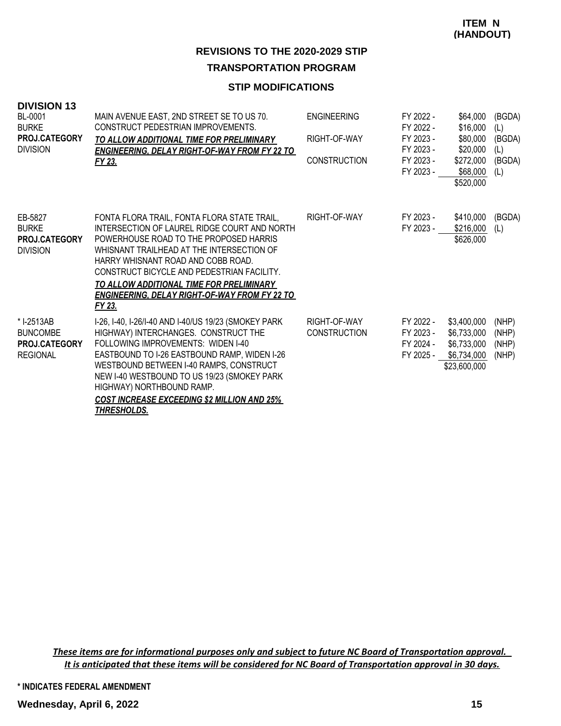#### **STIP MODIFICATIONS**

| <b>DIVISION 13</b><br>BL-0001<br><b>BURKE</b><br><b>PROJ.CATEGORY</b><br><b>DIVISION</b> | MAIN AVENUE EAST, 2ND STREET SE TO US 70.<br>CONSTRUCT PEDESTRIAN IMPROVEMENTS.<br>TO ALLOW ADDITIONAL TIME FOR PRELIMINARY<br><b>ENGINEERING, DELAY RIGHT-OF-WAY FROM FY 22 TO</b><br>FY 23.                                                                                                                                                                                        | <b>ENGINEERING</b><br>RIGHT-OF-WAY<br><b>CONSTRUCTION</b> | FY 2022 -<br>FY 2022 -<br>FY 2023 -<br>FY 2023 -<br>FY 2023 -<br>FY 2023 - | \$64,000<br>\$16,000<br>\$80,000<br>\$20,000<br>\$272,000<br>\$68,000<br>\$520,000 | (BGDA)<br>(L)<br>(BGDA)<br>(L)<br>(BGDA)<br>(L) |
|------------------------------------------------------------------------------------------|--------------------------------------------------------------------------------------------------------------------------------------------------------------------------------------------------------------------------------------------------------------------------------------------------------------------------------------------------------------------------------------|-----------------------------------------------------------|----------------------------------------------------------------------------|------------------------------------------------------------------------------------|-------------------------------------------------|
| EB-5827<br><b>BURKE</b><br><b>PROJ.CATEGORY</b><br><b>DIVISION</b>                       | FONTA FLORA TRAIL, FONTA FLORA STATE TRAIL,<br>INTERSECTION OF LAUREL RIDGE COURT AND NORTH<br>POWERHOUSE ROAD TO THE PROPOSED HARRIS<br>WHISNANT TRAILHEAD AT THE INTERSECTION OF<br>HARRY WHISNANT ROAD AND COBB ROAD.<br>CONSTRUCT BICYCLE AND PEDESTRIAN FACILITY.<br>TO ALLOW ADDITIONAL TIME FOR PRELIMINARY<br><b>ENGINEERING. DELAY RIGHT-OF-WAY FROM FY 22 TO</b><br>FY 23. | RIGHT-OF-WAY                                              | FY 2023 -<br>FY 2023 -                                                     | \$410,000<br>\$216,000<br>\$626,000                                                | (BGDA)<br>(L)                                   |
| * I-2513AB<br><b>BUNCOMBE</b><br><b>PROJ.CATEGORY</b><br><b>REGIONAL</b>                 | I-26, I-40, I-26/I-40 AND I-40/US 19/23 (SMOKEY PARK<br>HIGHWAY) INTERCHANGES. CONSTRUCT THE<br>FOLLOWING IMPROVEMENTS: WIDEN I-40<br>EASTBOUND TO I-26 EASTBOUND RAMP, WIDEN I-26<br>WESTBOUND BETWEEN I-40 RAMPS, CONSTRUCT<br>NEW I-40 WESTBOUND TO US 19/23 (SMOKEY PARK<br>HIGHWAY) NORTHBOUND RAMP.<br><b>COST INCREASE EXCEEDING \$2 MILLION AND 25%</b><br>THRESHOLDS.       | RIGHT-OF-WAY<br><b>CONSTRUCTION</b>                       | FY 2022 -<br>FY 2023 -<br>FY 2024 -<br>FY 2025 -                           | \$3,400,000<br>\$6,733,000<br>\$6,733,000<br>\$6,734,000<br>\$23,600,000           | (NHP)<br>(NHP)<br>(NHP)<br>(NHP)                |

*These items are for informational purposes only and subject to future NC Board of Transportation approval. It is anticipated that these items will be considered for NC Board of Transportation approval in 30 days.*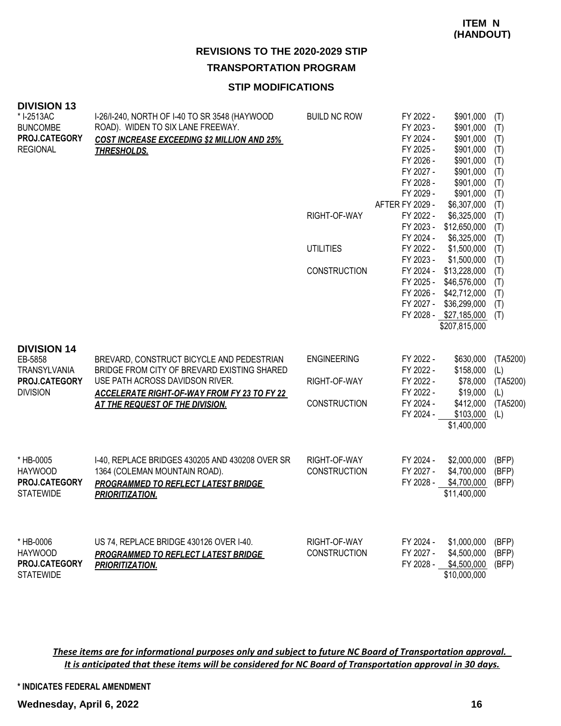#### **STIP MODIFICATIONS**

| <b>DIVISION 13</b>   |                                                    |                     |                        |                             |            |
|----------------------|----------------------------------------------------|---------------------|------------------------|-----------------------------|------------|
| * I-2513AC           | I-26/I-240, NORTH OF I-40 TO SR 3548 (HAYWOOD      | <b>BUILD NC ROW</b> | FY 2022 -              | \$901,000                   | (T)        |
| <b>BUNCOMBE</b>      | ROAD). WIDEN TO SIX LANE FREEWAY.                  |                     | FY 2023 -              | \$901,000                   | (T)        |
| PROJ.CATEGORY        | <b>COST INCREASE EXCEEDING \$2 MILLION AND 25%</b> |                     | FY 2024 -              | \$901,000                   | (T)        |
| <b>REGIONAL</b>      | <b>THRESHOLDS.</b>                                 |                     | FY 2025 -              | \$901,000                   | (T)        |
|                      |                                                    |                     | FY 2026 -              | \$901,000                   | (T)        |
|                      |                                                    |                     | FY 2027 -              | \$901,000                   | (T)        |
|                      |                                                    |                     | FY 2028 -              | \$901,000                   | (T)        |
|                      |                                                    |                     | FY 2029 -              | \$901,000                   | (T)        |
|                      |                                                    |                     | <b>AFTER FY 2029 -</b> | \$6,307,000                 | (T)        |
|                      |                                                    | RIGHT-OF-WAY        | FY 2022 -<br>FY 2023 - | \$6,325,000                 | (T)        |
|                      |                                                    |                     | FY 2024 -              | \$12,650,000<br>\$6,325,000 | (T)        |
|                      |                                                    | <b>UTILITIES</b>    | FY 2022 -              | \$1,500,000                 | (T)<br>(T) |
|                      |                                                    |                     | FY 2023 -              | \$1,500,000                 | (T)        |
|                      |                                                    | <b>CONSTRUCTION</b> | FY 2024 -              | \$13,228,000                | (T)        |
|                      |                                                    |                     | FY 2025 -              | \$46,576,000                | (T)        |
|                      |                                                    |                     | FY 2026 -              | \$42,712,000                | (T)        |
|                      |                                                    |                     | FY 2027 -              | \$36,299,000                | (T)        |
|                      |                                                    |                     |                        | FY 2028 - \$27,185,000      | (T)        |
|                      |                                                    |                     |                        | \$207,815,000               |            |
|                      |                                                    |                     |                        |                             |            |
| <b>DIVISION 14</b>   |                                                    |                     |                        |                             |            |
| EB-5858              | BREVARD, CONSTRUCT BICYCLE AND PEDESTRIAN          | <b>ENGINEERING</b>  | FY 2022 -              | \$630,000                   | (TA5200)   |
| <b>TRANSYLVANIA</b>  | BRIDGE FROM CITY OF BREVARD EXISTING SHARED        |                     | FY 2022 -              | \$158,000                   | (L)        |
| PROJ.CATEGORY        | USE PATH ACROSS DAVIDSON RIVER.                    | RIGHT-OF-WAY        | FY 2022 -              | \$78,000                    | (TA5200)   |
| <b>DIVISION</b>      | <b>ACCELERATE RIGHT-OF-WAY FROM FY 23 TO FY 22</b> |                     | FY 2022 -              | \$19,000                    | (L)        |
|                      | <b>AT THE REQUEST OF THE DIVISION.</b>             | <b>CONSTRUCTION</b> | FY 2024 -              | \$412,000                   | (TA5200)   |
|                      |                                                    |                     | FY 2024 -              | \$103,000                   | (L)        |
|                      |                                                    |                     |                        | \$1,400,000                 |            |
|                      |                                                    |                     |                        |                             |            |
|                      |                                                    |                     |                        |                             |            |
| * HB-0005            | 1-40, REPLACE BRIDGES 430205 AND 430208 OVER SR    | RIGHT-OF-WAY        | FY 2024 -              | \$2,000,000                 | (BFP)      |
| <b>HAYWOOD</b>       | 1364 (COLEMAN MOUNTAIN ROAD).                      | <b>CONSTRUCTION</b> | FY 2027 -              | \$4,700,000                 | (BFP)      |
| PROJ.CATEGORY        | PROGRAMMED TO REFLECT LATEST BRIDGE                |                     | FY 2028 -              | \$4,700,000                 | (BFP)      |
| <b>STATEWIDE</b>     | PRIORITIZATION.                                    |                     |                        | \$11,400,000                |            |
|                      |                                                    |                     |                        |                             |            |
|                      |                                                    |                     |                        |                             |            |
|                      |                                                    |                     |                        |                             |            |
| * HB-0006            | US 74, REPLACE BRIDGE 430126 OVER I-40.            | RIGHT-OF-WAY        | FY 2024 -              | \$1,000,000                 | (BFP)      |
| <b>HAYWOOD</b>       | PROGRAMMED TO REFLECT LATEST BRIDGE                | <b>CONSTRUCTION</b> | FY 2027 -              | \$4,500,000                 | (BFP)      |
| <b>PROJ.CATEGORY</b> | <b>PRIORITIZATION.</b>                             |                     | FY 2028 -              | \$4,500,000                 | (BFP)      |
| <b>STATEWIDE</b>     |                                                    |                     |                        | \$10,000,000                |            |

*These items are for informational purposes only and subject to future NC Board of Transportation approval. It is anticipated that these items will be considered for NC Board of Transportation approval in 30 days.*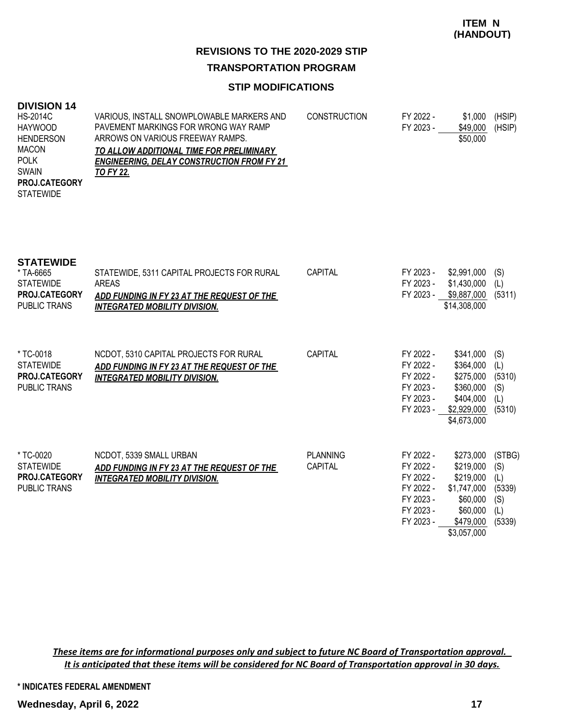# **REVISIONS TO THE 2020-2029 STIP**

# **TRANSPORTATION PROGRAM**

# **STIP MODIFICATIONS**

| <b>DIVISION 14</b>                  |  |
|-------------------------------------|--|
| $\overline{110}$ $\overline{00110}$ |  |

| ---------            |                                                   |                     |           |          |        |
|----------------------|---------------------------------------------------|---------------------|-----------|----------|--------|
| <b>HS-2014C</b>      | VARIOUS, INSTALL SNOWPLOWABLE MARKERS AND         | <b>CONSTRUCTION</b> | FY 2022 - | \$1,000  | (HSIP) |
| <b>HAYWOOD</b>       | PAVEMENT MARKINGS FOR WRONG WAY RAMP              |                     | FY 2023 - | \$49,000 | (HSIP) |
| <b>HENDERSON</b>     | ARROWS ON VARIOUS FREEWAY RAMPS.                  |                     |           | \$50,000 |        |
| MACON                | TO ALLOW ADDITIONAL TIME FOR PRELIMINARY          |                     |           |          |        |
| <b>POLK</b>          | <b>ENGINEERING. DELAY CONSTRUCTION FROM FY 21</b> |                     |           |          |        |
| <b>SWAIN</b>         | TO FY 22.                                         |                     |           |          |        |
| <b>PROJ.CATEGORY</b> |                                                   |                     |           |          |        |
| <b>STATEWIDE</b>     |                                                   |                     |           |          |        |
|                      |                                                   |                     |           |          |        |
|                      |                                                   |                     |           |          |        |
|                      |                                                   |                     |           |          |        |

| <b>STATEWIDE</b><br>* TA-6665<br><b>STATEWIDE</b><br><b>PROJ.CATEGORY</b><br>PUBLIC TRANS | STATEWIDE, 5311 CAPITAL PROJECTS FOR RURAL<br>AREAS<br>ADD FUNDING IN FY 23 AT THE REQUEST OF THE<br><b>INTEGRATED MOBILITY DIVISION.</b> | CAPITAL                           | FY 2023 -<br>FY 2023 -<br>FY 2023 -                                                     | \$2,991,000<br>\$1,430,000<br>\$9,887,000<br>\$14,308,000                                              | (S)<br>(L)<br>(5311)                                   |
|-------------------------------------------------------------------------------------------|-------------------------------------------------------------------------------------------------------------------------------------------|-----------------------------------|-----------------------------------------------------------------------------------------|--------------------------------------------------------------------------------------------------------|--------------------------------------------------------|
| * TC-0018<br><b>STATEWIDE</b><br><b>PROJ.CATEGORY</b><br>PUBLIC TRANS                     | NCDOT, 5310 CAPITAL PROJECTS FOR RURAL<br>ADD FUNDING IN FY 23 AT THE REQUEST OF THE<br><b>INTEGRATED MOBILITY DIVISION.</b>              | CAPITAL                           | FY 2022 -<br>FY 2022 -<br>FY 2022 -<br>FY 2023 -<br>FY 2023 -<br>FY 2023 -              | \$341,000<br>\$364,000<br>\$275,000<br>\$360,000<br>\$404,000<br>\$2,929,000<br>\$4,673,000            | (S)<br>(L)<br>(5310)<br>(S)<br>(L)<br>(5310)           |
| * TC-0020<br><b>STATEWIDE</b><br><b>PROJ.CATEGORY</b><br>PUBLIC TRANS                     | NCDOT, 5339 SMALL URBAN<br>ADD FUNDING IN FY 23 AT THE REQUEST OF THE<br><b>INTEGRATED MOBILITY DIVISION.</b>                             | <b>PLANNING</b><br><b>CAPITAL</b> | FY 2022 -<br>FY 2022 -<br>FY 2022 -<br>FY 2022 -<br>FY 2023 -<br>FY 2023 -<br>FY 2023 - | \$273,000<br>\$219,000<br>\$219,000<br>\$1,747,000<br>\$60,000<br>\$60,000<br>\$479,000<br>\$3,057,000 | (STBG)<br>(S)<br>(L)<br>(5339)<br>(S)<br>(L)<br>(5339) |

*These items are for informational purposes only and subject to future NC Board of Transportation approval. It is anticipated that these items will be considered for NC Board of Transportation approval in 30 days.*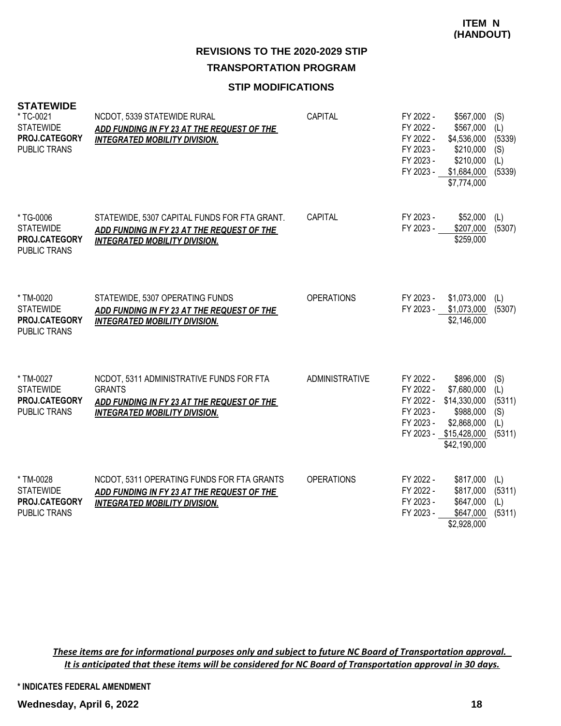# **STIP MODIFICATIONS**

| <b>STATEWIDE</b><br>* TC-0021<br><b>STATEWIDE</b><br>PROJ.CATEGORY<br><b>PUBLIC TRANS</b> | NCDOT, 5339 STATEWIDE RURAL<br><b>ADD FUNDING IN FY 23 AT THE REQUEST OF THE</b><br><b>INTEGRATED MOBILITY DIVISION.</b>                        | <b>CAPITAL</b>        | FY 2022 -<br>FY 2022 -<br>FY 2022 -<br>FY 2023 -<br>FY 2023 -<br>FY 2023 - | \$567,000<br>\$567,000<br>\$4,536,000<br>\$210,000<br>\$210,000<br>\$1,684,000<br>\$7,774,000                  | (S)<br>(L)<br>(5339)<br>(S)<br>(L)<br>(5339) |
|-------------------------------------------------------------------------------------------|-------------------------------------------------------------------------------------------------------------------------------------------------|-----------------------|----------------------------------------------------------------------------|----------------------------------------------------------------------------------------------------------------|----------------------------------------------|
| * TG-0006<br><b>STATEWIDE</b><br>PROJ.CATEGORY<br>PUBLIC TRANS                            | STATEWIDE, 5307 CAPITAL FUNDS FOR FTA GRANT.<br>ADD FUNDING IN FY 23 AT THE REQUEST OF THE<br><b>INTEGRATED MOBILITY DIVISION.</b>              | <b>CAPITAL</b>        | FY 2023 -<br>FY 2023 -                                                     | \$52,000<br>\$207,000<br>\$259,000                                                                             | (L)<br>(5307)                                |
| * TM-0020<br><b>STATEWIDE</b><br>PROJ.CATEGORY<br><b>PUBLIC TRANS</b>                     | STATEWIDE, 5307 OPERATING FUNDS<br>ADD FUNDING IN FY 23 AT THE REQUEST OF THE<br><b>INTEGRATED MOBILITY DIVISION.</b>                           | <b>OPERATIONS</b>     | FY 2023 -<br>FY 2023 -                                                     | \$1,073,000<br>\$1,073,000<br>\$2,146,000                                                                      | (L)<br>(5307)                                |
| * TM-0027<br><b>STATEWIDE</b><br>PROJ.CATEGORY<br>PUBLIC TRANS                            | NCDOT, 5311 ADMINISTRATIVE FUNDS FOR FTA<br><b>GRANTS</b><br>ADD FUNDING IN FY 23 AT THE REQUEST OF THE<br><b>INTEGRATED MOBILITY DIVISION.</b> | <b>ADMINISTRATIVE</b> | FY 2022 -<br>FY 2022 -<br>FY 2022 -<br>FY 2023 -<br>FY 2023 -              | \$896,000<br>\$7,680,000<br>\$14,330,000<br>\$988,000<br>\$2,868,000<br>FY 2023 - \$15,428,000<br>\$42,190,000 | (S)<br>(L)<br>(5311)<br>(S)<br>(L)<br>(5311) |
| * TM-0028<br><b>STATEWIDE</b><br>PROJ.CATEGORY<br>PUBLIC TRANS                            | NCDOT, 5311 OPERATING FUNDS FOR FTA GRANTS<br>ADD FUNDING IN FY 23 AT THE REQUEST OF THE<br><b>INTEGRATED MOBILITY DIVISION.</b>                | <b>OPERATIONS</b>     | FY 2022 -<br>FY 2022 -<br>FY 2023 -<br>FY 2023 -                           | \$817,000<br>\$817,000<br>\$647,000<br>\$647,000<br>\$2,928,000                                                | (L)<br>(5311)<br>(L)<br>(5311)               |

*These items are for informational purposes only and subject to future NC Board of Transportation approval. It is anticipated that these items will be considered for NC Board of Transportation approval in 30 days.*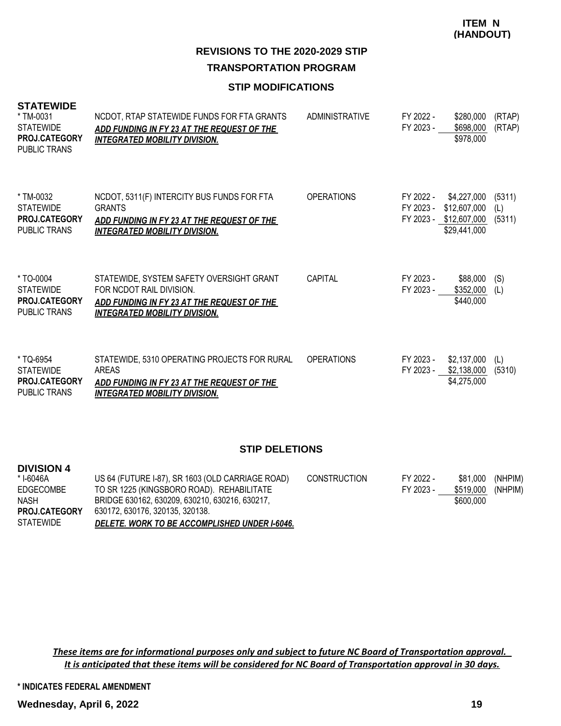## **STIP MODIFICATIONS**

| <b>STATEWIDE</b><br>* TM-0031<br><b>STATEWIDE</b><br><b>PROJ.CATEGORY</b><br><b>PUBLIC TRANS</b> | NCDOT, RTAP STATEWIDE FUNDS FOR FTA GRANTS<br>ADD FUNDING IN FY 23 AT THE REQUEST OF THE<br><b>INTEGRATED MOBILITY DIVISION.</b>                           | <b>ADMINISTRATIVE</b> | FY 2022 -<br>FY 2023 - | \$280,000<br>\$698,000<br>\$978,000                                   | (RTAP)<br>(RTAP)        |
|--------------------------------------------------------------------------------------------------|------------------------------------------------------------------------------------------------------------------------------------------------------------|-----------------------|------------------------|-----------------------------------------------------------------------|-------------------------|
| * TM-0032<br><b>STATEWIDE</b><br><b>PROJ.CATEGORY</b><br><b>PUBLIC TRANS</b>                     | NCDOT, 5311(F) INTERCITY BUS FUNDS FOR FTA<br><b>GRANTS</b><br><u>ADD FUNDING IN FY 23 AT THE REQUEST OF THE </u><br><b>INTEGRATED MOBILITY DIVISION.</b>  | <b>OPERATIONS</b>     | FY 2022 -<br>FY 2023 - | \$4,227,000<br>\$12,607,000<br>FY 2023 - \$12,607,000<br>\$29,441,000 | (5311)<br>(L)<br>(5311) |
| *TO-0004<br><b>STATEWIDE</b><br><b>PROJ.CATEGORY</b><br><b>PUBLIC TRANS</b>                      | STATEWIDE, SYSTEM SAFETY OVERSIGHT GRANT<br>FOR NCDOT RAIL DIVISION.<br>ADD FUNDING IN FY 23 AT THE REQUEST OF THE<br><b>INTEGRATED MOBILITY DIVISION.</b> | <b>CAPITAL</b>        | FY 2023 -<br>FY 2023 - | \$88,000<br>\$352,000<br>\$440,000                                    | (S)<br>(L)              |
| *TQ-6954<br><b>STATEWIDE</b><br><b>PROJ.CATEGORY</b><br><b>PUBLIC TRANS</b>                      | STATEWIDE, 5310 OPERATING PROJECTS FOR RURAL<br>AREAS<br>ADD FUNDING IN FY 23 AT THE REQUEST OF THE<br>INTEGRATED MOBILITY DIVISION.                       | <b>OPERATIONS</b>     | FY 2023 -<br>FY 2023 - | \$2,137,000<br>\$2,138,000<br>\$4,275,000                             | (L)<br>(5310)           |

#### **STIP DELETIONS**

| <b>DIVISION 4</b>    |                                                  |                     |           |           |         |
|----------------------|--------------------------------------------------|---------------------|-----------|-----------|---------|
| * I-6046A            | US 64 (FUTURE I-87), SR 1603 (OLD CARRIAGE ROAD) | <b>CONSTRUCTION</b> | FY 2022 - | \$81.000  | (NHPIM) |
| EDGECOMBE            | TO SR 1225 (KINGSBORO ROAD). REHABILITATE        |                     | FY 2023 - | \$519,000 | (NHPIM) |
| <b>NASH</b>          | BRIDGE 630162, 630209, 630210, 630216, 630217,   |                     |           | \$600,000 |         |
| <b>PROJ.CATEGORY</b> | 630172, 630176, 320135, 320138.                  |                     |           |           |         |
| STATEWIDE            | DELETE. WORK TO BE ACCOMPLISHED UNDER I-6046.    |                     |           |           |         |

*These items are for informational purposes only and subject to future NC Board of Transportation approval. It is anticipated that these items will be considered for NC Board of Transportation approval in 30 days.*